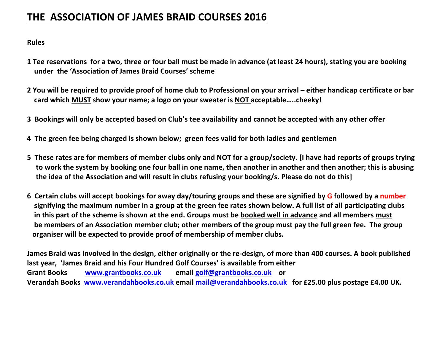## **THE ASSOCIATION OF JAMES BRAID COURSES 2016**

## **Rules**

- **1** Tee reservations for a two, three or four ball must be made in advance (at least 24 hours), stating you are booking **under the 'Association of James Braid Courses' scheme**
- **2** You will be required to provide proof of home club to Professional on your arrival either handicap certificate or bar **card** which MUST show your name; a logo on your sweater is NOT acceptable.....cheeky!
- **3** Bookings will only be accepted based on Club's tee availability and cannot be accepted with any other offer
- **4** The green fee being charged is shown below; green fees valid for both ladies and gentlemen
- **5** These rates are for members of member clubs only and NOT for a group/society. [I have had reports of groups trying to work the system by booking one four ball in one name, then another in another and then another; this is abusing the idea of the Association and will result in clubs refusing your booking/s. Please do not do this]
- **6** Certain clubs will accept bookings for away day/touring groups and these are signified by G followed by a number signifying the maximum number in a group at the green fee rates shown below. A full list of all participating clubs In this part of the scheme is shown at the end. Groups must be booked well in advance and all members must **be members of an Association member club; other members of the group must pay the full green fee. The group** organiser will be expected to provide proof of membership of member clubs.

James Braid was involved in the design, either originally or the re-design, of more than 400 courses. A book published last year, 'James Braid and his Four Hundred Golf Courses' is available from either Grant Books www.grantbooks.co.uk email golf@grantbooks.co.uk or **Verandah Books** www.verandahbooks.co.uk email mail@verandahbooks.co.uk for £25.00 plus postage £4.00 UK.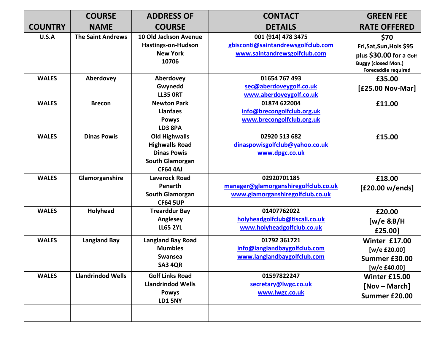|                | <b>COURSE</b>            | <b>ADDRESS OF</b>                                                                                                | <b>CONTACT</b>                                                                           | <b>GREEN FEE</b>                                                                                                 |
|----------------|--------------------------|------------------------------------------------------------------------------------------------------------------|------------------------------------------------------------------------------------------|------------------------------------------------------------------------------------------------------------------|
| <b>COUNTRY</b> | <b>NAME</b>              | <b>COURSE</b>                                                                                                    | <b>DETAILS</b>                                                                           | <b>RATE OFFERED</b>                                                                                              |
| U.S.A          | <b>The Saint Andrews</b> | 10 Old Jackson Avenue<br>Hastings-on-Hudson<br><b>New York</b><br>10706                                          | 001 (914) 478 3475<br>gbisconti@saintandrewsgolfclub.com<br>www.saintandrewsgolfclub.com | \$70<br>Fri, Sat, Sun, Hols \$95<br>plus \$30.00 for a Golf<br><b>Buggy (closed Mon.)</b><br>Forecaddie required |
| <b>WALES</b>   | Aberdovey                | Aberdovey<br>Gwynedd<br><b>LL35 ORT</b>                                                                          | 01654 767 493<br>sec@aberdoveygolf.co.uk<br>www.aberdoveygolf.co.uk                      | £35.00<br>[£25.00 Nov-Mar]                                                                                       |
| <b>WALES</b>   | <b>Brecon</b>            | <b>Newton Park</b><br><b>Llanfaes</b><br><b>Powys</b><br>LD3 8PA                                                 | 01874 622004<br>info@brecongolfclub.org.uk<br>www.brecongolfclub.org.uk                  | £11.00                                                                                                           |
| <b>WALES</b>   | <b>Dinas Powis</b>       | <b>Old Highwalls</b><br><b>Highwalls Road</b><br><b>Dinas Powis</b><br><b>South Glamorgan</b><br><b>CF64 4AJ</b> | 02920 513 682<br>dinaspowisgolfclub@yahoo.co.uk<br>www.dpgc.co.uk                        | £15.00                                                                                                           |
| <b>WALES</b>   | Glamorganshire           | <b>Laverock Road</b><br>Penarth<br><b>South Glamorgan</b><br><b>CF64 5UP</b>                                     | 02920701185<br>manager@glamorganshiregolfclub.co.uk<br>www.glamorganshiregolfclub.co.uk  | £18.00<br>[£20.00 w/ends]                                                                                        |
| <b>WALES</b>   | Holyhead                 | <b>Trearddur Bay</b><br>Anglesey<br><b>LL65 2YL</b>                                                              | 01407762022<br>holyheadgolfclub@tiscali.co.uk<br>www.holyheadgolfclub.co.uk              | £20.00<br>$[w/e \& B/H]$<br>£25.00]                                                                              |
| <b>WALES</b>   | <b>Langland Bay</b>      | <b>Langland Bay Road</b><br><b>Mumbles</b><br><b>Swansea</b><br><b>SA3 4QR</b>                                   | 01792 361721<br>info@langlandbaygolfclub.com<br>www.langlandbaygolfclub.com              | <b>Winter £17.00</b><br>[w/e £20.00]<br>Summer £30.00<br>[w/e £40.00]                                            |
| <b>WALES</b>   | <b>Llandrindod Wells</b> | <b>Golf Links Road</b><br><b>Llandrindod Wells</b><br><b>Powys</b><br><b>LD1 5NY</b>                             | 01597822247<br>secretary@lwgc.co.uk<br>www.lwgc.co.uk                                    | <b>Winter £15.00</b><br>[Nov – March]<br>Summer £20.00                                                           |
|                |                          |                                                                                                                  |                                                                                          |                                                                                                                  |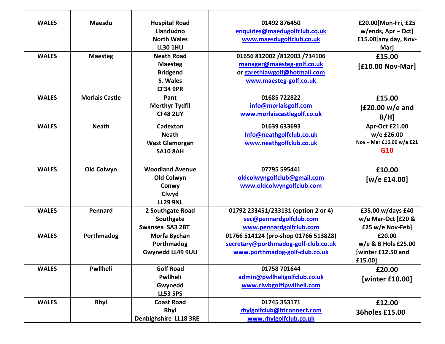| <b>WALES</b> | <b>Maesdu</b>         | <b>Hospital Road</b>   | 01492 876450                         | £20.00 Mon-Fri, £25      |
|--------------|-----------------------|------------------------|--------------------------------------|--------------------------|
|              |                       | Llandudno              | enquiries@maedugolfclub.co.uk        | $w/ends$ , Apr – Oct]    |
|              |                       | <b>North Wales</b>     | www.maesdugolfclub.co.uk             | £15.00[any day, Nov-     |
|              |                       | <b>LL30 1HU</b>        |                                      | Mar]                     |
| <b>WALES</b> | <b>Maesteg</b>        | <b>Neath Road</b>      | 01656 812002 /812003 /734106         | £15.00                   |
|              |                       | <b>Maesteg</b>         | manager@maesteg-golf.co.uk           | [£10.00 Nov-Mar]         |
|              |                       | <b>Bridgend</b>        | or garethlawgolf@hotmail.com         |                          |
|              |                       | S. Wales               | www.maesteg-golf.co.uk               |                          |
|              |                       | <b>CF34 9PR</b>        |                                      |                          |
| <b>WALES</b> | <b>Morlais Castle</b> | Pant                   | 01685 722822                         | £15.00                   |
|              |                       | <b>Merthyr Tydfil</b>  | info@morlaisgolf.com                 | $[£20.00 w/e$ and        |
|              |                       | <b>CF48 2UY</b>        | www.morlaiscastlegolf.co.uk          | $B/H$ ]                  |
| <b>WALES</b> | <b>Neath</b>          | Cadexton               | 01639 633693                         | Apr-Oct £21.00           |
|              |                       | <b>Neath</b>           | Info@neathgolfclub.co.uk             | w/e £26.00               |
|              |                       | <b>West Glamorgan</b>  | www.neathgolfclub.co.uk              | Nov - Mar £16.00 w/e £21 |
|              |                       | <b>SA10 8AH</b>        |                                      | G10                      |
|              |                       |                        |                                      |                          |
| <b>WALES</b> | Old Colwyn            | <b>Woodland Avenue</b> | 07795 595441                         | £10.00                   |
|              |                       | Old Colwyn             | oldcolwyngolfclub@gmail.com          | [w/e $£14.00]$           |
|              |                       | Conwy                  | www.oldcolwyngolfclub.com            |                          |
|              |                       | Clwyd                  |                                      |                          |
|              |                       | <b>LL29 9NL</b>        |                                      |                          |
| <b>WALES</b> | Pennard               | 2 Southgate Road       | 01792 233451/233131 (option 2 or 4)  | £35.00 w/days £40        |
|              |                       | Southgate              | sec@pennardgolfclub.com              | w/e Mar-Oct [£20 &       |
|              |                       | Swansea SA3 2BT        | www.pennardgolfclub.com              | £25 w/e Nov-Feb]         |
| <b>WALES</b> | Porthmadog            | Morfa Bychan           | 01766 514124 (pro-shop 01766 513828) | £20.00                   |
|              |                       | Porthmadog             | secretary@porthmadog-golf-club.co.uk | w/e & B Hols £25.00      |
|              |                       | Gwynedd LL49 9UU       | www.porthmadog-golf-club.co.uk       | [winter £12.50 and       |
|              |                       |                        |                                      | £15.00]                  |
| <b>WALES</b> | Pwllheli              | <b>Golf Road</b>       | 01758 701644                         | £20.00                   |
|              |                       | Pwllheli               | admin@pwllheligolfclub.co.uk         | [winter £10.00]          |
|              |                       | Gwynedd                | www.clwbgolffpwllheli.com            |                          |
|              |                       | <b>LL53 5PS</b>        |                                      |                          |
| <b>WALES</b> | Rhyl                  | <b>Coast Road</b>      | 01745 353171                         | £12.00                   |
|              |                       | Rhyl                   | rhylgolfclub@btconnect.com           | 36holes £15.00           |
|              |                       | Denbighshire LL18 3RE  | www.rhylgolfclub.co.uk               |                          |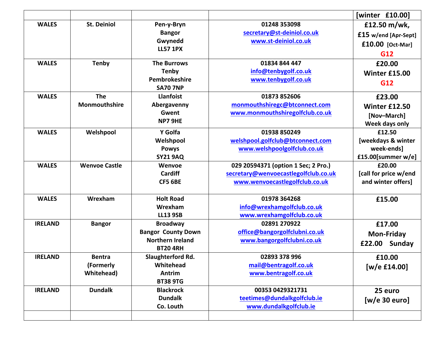|                |                      |                           |                                      | [winter £10.00]       |
|----------------|----------------------|---------------------------|--------------------------------------|-----------------------|
| <b>WALES</b>   | <b>St. Deiniol</b>   | Pen-y-Bryn                | 01248 353098                         | £12.50 m/wk,          |
|                |                      | <b>Bangor</b>             | secretary@st-deiniol.co.uk           | £15 w/end [Apr-Sept]  |
|                |                      | Gwynedd                   | www.st-deiniol.co.uk                 | £10.00 [Oct-Mar]      |
|                |                      | <b>LL57 1PX</b>           |                                      | G12                   |
| <b>WALES</b>   | <b>Tenby</b>         | <b>The Burrows</b>        | 01834 844 447                        | £20.00                |
|                |                      | <b>Tenby</b>              | info@tenbygolf.co.uk                 | <b>Winter £15.00</b>  |
|                |                      | Pembrokeshire             | www.tenbygolf.co.uk                  | G12                   |
|                |                      | <b>SA70 7NP</b>           |                                      |                       |
| <b>WALES</b>   | <b>The</b>           | <b>Llanfoist</b>          | 01873 852606                         | £23.00                |
|                | Monmouthshire        | Abergavenny               | monmouthshiregc@btconnect.com        | <b>Winter £12.50</b>  |
|                |                      | Gwent                     | www.monmouthshiregolfclub.co.uk      | [Nov-March]           |
|                |                      | NP7 9HE                   |                                      | Week days only        |
| <b>WALES</b>   | Welshpool            | Y Golfa                   | 01938 850249                         | £12.50                |
|                |                      | Welshpool                 | welshpool.golfclub@btconnect.com     | [weekdays & winter    |
|                |                      | <b>Powys</b>              | www.welshpoolgolfclub.co.uk          | week-ends]            |
|                |                      | <b>SY21 9AQ</b>           |                                      | £15.00[summer w/e]    |
| <b>WALES</b>   | <b>Wenvoe Castle</b> | Wenvoe                    | 029 20594371 (option 1 Sec; 2 Pro.)  | £20.00                |
|                |                      | <b>Cardiff</b>            | secretary@wenvoecastlegolfclub.co.uk | [call for price w/end |
|                |                      | <b>CF5 6BE</b>            | www.wenvoecastlegolfclub.co.uk       | and winter offers]    |
| <b>WALES</b>   | Wrexham              | <b>Holt Road</b>          | 01978 364268                         | £15.00                |
|                |                      | Wrexham                   | info@wrexhamgolfclub.co.uk           |                       |
|                |                      | <b>LL13 9SB</b>           | www.wrexhamgolfclub.co.uk            |                       |
| <b>IRELAND</b> | <b>Bangor</b>        | <b>Broadway</b>           | 02891 270922                         | £17.00                |
|                |                      | <b>Bangor County Down</b> | office@bangorgolfclubni.co.uk        | <b>Mon-Friday</b>     |
|                |                      | <b>Northern Ireland</b>   | www.bangorgolfclubni.co.uk           |                       |
|                |                      | <b>BT20 4RH</b>           |                                      | Sunday<br>£22.00      |
| <b>IRELAND</b> | <b>Bentra</b>        | Slaughterford Rd.         | 02893 378 996                        | £10.00                |
|                | (Formerly            | Whitehead                 | mail@bentragolf.co.uk                | $[w/e$ £14.00]        |
|                | <b>Whitehead</b> )   | Antrim                    | www.bentragolf.co.uk                 |                       |
|                |                      | <b>BT38 9TG</b>           |                                      |                       |
| <b>IRELAND</b> | <b>Dundalk</b>       | <b>Blackrock</b>          | 00353 0429321731                     | 25 euro               |
|                |                      | <b>Dundalk</b>            | teetimes@dundalkgolfclub.ie          | [w/e 30 euro]         |
|                |                      | Co. Louth                 | www.dundalkgolfclub.ie               |                       |
|                |                      |                           |                                      |                       |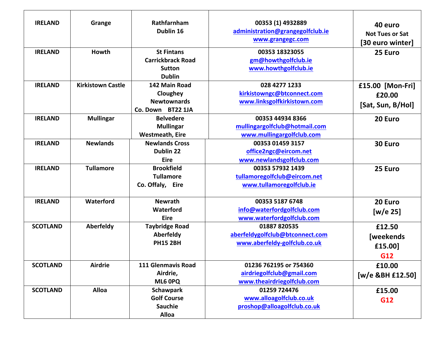| <b>IRELAND</b><br><b>IRELAND</b> | Grange<br>Howth          | Rathfarnham<br>Dublin 16<br><b>St Fintans</b><br><b>Carrickbrack Road</b><br><b>Sutton</b><br><b>Dublin</b> | 00353 (1) 4932889<br>administration@grangegolfclub.ie<br>www.grangegc.com<br>00353 18323055<br>gm@howthgolfclub.ie<br>www.howthgolfclub.ie | 40 euro<br><b>Not Tues or Sat</b><br>[30 euro winter]<br>25 Euro |
|----------------------------------|--------------------------|-------------------------------------------------------------------------------------------------------------|--------------------------------------------------------------------------------------------------------------------------------------------|------------------------------------------------------------------|
| <b>IRELAND</b>                   | <b>Kirkistown Castle</b> | 142 Main Road<br>Cloughey<br><b>Newtownards</b><br>Co. Down BT22 1JA                                        | 028 4277 1233<br>kirkistowngc@btconnect.com<br>www.linksgolfkirkistown.com                                                                 | £15.00 [Mon-Fri]<br>£20.00<br>[Sat, Sun, B/Hol]                  |
| <b>IRELAND</b>                   | <b>Mullingar</b>         | <b>Belvedere</b><br><b>Mullingar</b><br><b>Westmeath, Eire</b>                                              | 00353 44934 8366<br>mullingargolfclub@hotmail.com<br>www.mullingargolfclub.com                                                             | 20 Euro                                                          |
| <b>IRELAND</b>                   | <b>Newlands</b>          | <b>Newlands Cross</b><br>Dublin 22<br><b>Eire</b>                                                           | 00353 01459 3157<br>office2ngc@eircom.net<br>www.newlandsgolfclub.com                                                                      | 30 Euro                                                          |
| <b>IRELAND</b>                   | <b>Tullamore</b>         | <b>Brookfield</b><br><b>Tullamore</b><br>Co. Offaly, Eire                                                   | 00353 57932 1439<br>tullamoregolfclub@eircom.net<br>www.tullamoregolfclub.ie                                                               | 25 Euro                                                          |
| <b>IRELAND</b>                   | Waterford                | <b>Newrath</b><br>Waterford<br><b>Eire</b>                                                                  | 00353 5187 6748<br>info@waterfordgolfclub.com<br>www.waterfordgolfclub.com                                                                 | 20 Euro<br>[w/e 25]                                              |
| <b>SCOTLAND</b>                  | Aberfeldy                | <b>Taybridge Road</b><br>Aberfeldy<br><b>PH15 2BH</b>                                                       | 01887 820535<br>aberfeldygolfclub@btconnect.com<br>www.aberfeldy-golfclub.co.uk                                                            | £12.50<br><b>[weekends</b><br>£15.00]<br>G12                     |
| <b>SCOTLAND</b>                  | <b>Airdrie</b>           | 111 Glenmavis Road<br>Airdrie,<br>ML6 0PQ                                                                   | 01236 762195 or 754360<br>airdriegolfclub@gmail.com<br>www.theairdriegolfclub.com                                                          | £10.00<br>[w/e &BH £12.50]                                       |
| <b>SCOTLAND</b>                  | <b>Alloa</b>             | <b>Schawpark</b><br><b>Golf Course</b><br><b>Sauchie</b><br>Alloa                                           | 01259 724476<br>www.alloagolfclub.co.uk<br>proshop@alloagolfclub.co.uk                                                                     | £15.00<br>G12                                                    |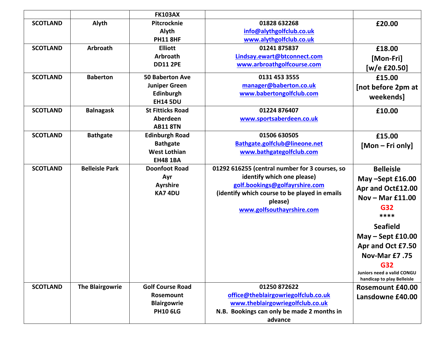|                 |                        | <b>FK103AX</b>          |                                                |                            |
|-----------------|------------------------|-------------------------|------------------------------------------------|----------------------------|
| <b>SCOTLAND</b> | Alyth                  | Pitcrocknie             | 01828 632268                                   | £20.00                     |
|                 |                        | Alyth                   | info@alythgolfclub.co.uk                       |                            |
|                 |                        | <b>PH11 8HF</b>         | www.alythgolfclub.co.uk                        |                            |
| <b>SCOTLAND</b> | <b>Arbroath</b>        | <b>Elliott</b>          | 01241 875837                                   | £18.00                     |
|                 |                        | <b>Arbroath</b>         | Lindsay.ewart@btconnect.com                    | [Mon-Fri]                  |
|                 |                        | <b>DD11 2PE</b>         | www.arbroathgolfcourse.com                     | [w/e £20.50]               |
| <b>SCOTLAND</b> | <b>Baberton</b>        | <b>50 Baberton Ave</b>  | 0131 453 3555                                  | £15.00                     |
|                 |                        | <b>Juniper Green</b>    | manager@baberton.co.uk                         | [not before 2pm at         |
|                 |                        | Edinburgh               | www.babertongolfclub.com                       | weekends]                  |
|                 |                        | <b>EH14 5DU</b>         |                                                |                            |
| <b>SCOTLAND</b> | <b>Balnagask</b>       | <b>St Fitticks Road</b> | 01224 876407                                   | £10.00                     |
|                 |                        | Aberdeen                | www.sportsaberdeen.co.uk                       |                            |
|                 |                        | <b>AB11 8TN</b>         |                                                |                            |
| <b>SCOTLAND</b> | <b>Bathgate</b>        | <b>Edinburgh Road</b>   | 01506 630505                                   | £15.00                     |
|                 |                        | <b>Bathgate</b>         | Bathgate.golfclub@lineone.net                  | [Mon – Fri only]           |
|                 |                        | <b>West Lothian</b>     | www.bathgategolfclub.com                       |                            |
|                 |                        | <b>EH48 1BA</b>         |                                                |                            |
| <b>SCOTLAND</b> | <b>Belleisle Park</b>  | <b>Doonfoot Road</b>    | 01292 616255 (central number for 3 courses, so | <b>Belleisle</b>           |
|                 |                        | Ayr                     | identify which one please)                     | May -Sept £16.00           |
|                 |                        | <b>Ayrshire</b>         | golf.bookings@golfayrshire.com                 | Apr and Oct£12.00          |
|                 |                        | <b>KA74DU</b>           | (identify which course to be played in emails  | Nov $-$ Mar £11.00         |
|                 |                        |                         | please)                                        | G32                        |
|                 |                        |                         | www.golfsouthayrshire.com                      | ****                       |
|                 |                        |                         |                                                |                            |
|                 |                        |                         |                                                | <b>Seafield</b>            |
|                 |                        |                         |                                                | $May - Sept f10.00$        |
|                 |                        |                         |                                                | Apr and Oct £7.50          |
|                 |                        |                         |                                                | <b>Nov-Mar £7.75</b>       |
|                 |                        |                         |                                                | G32                        |
|                 |                        |                         |                                                | Juniors need a valid CONGU |
|                 |                        |                         |                                                | handicap to play Belleisle |
| <b>SCOTLAND</b> | <b>The Blairgowrie</b> | <b>Golf Course Road</b> | 01250 872622                                   | <b>Rosemount £40.00</b>    |
|                 |                        | Rosemount               | office@theblairgowriegolfclub.co.uk            | Lansdowne £40.00           |
|                 |                        | <b>Blairgowrie</b>      | www.theblairgowriegolfclub.co.uk               |                            |
|                 |                        | <b>PH10 6LG</b>         | N.B. Bookings can only be made 2 months in     |                            |
|                 |                        |                         | advance                                        |                            |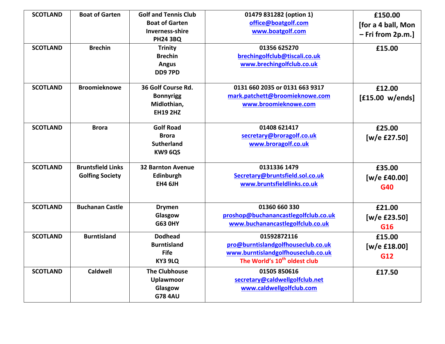| <b>SCOTLAND</b> | <b>Boat of Garten</b>    | <b>Golf and Tennis Club</b> | 01479 831282 (option 1)                  | £150.00             |
|-----------------|--------------------------|-----------------------------|------------------------------------------|---------------------|
|                 |                          | <b>Boat of Garten</b>       | office@boatgolf.com                      |                     |
|                 |                          | <b>Inverness-shire</b>      | www.boatgolf.com                         | [for a 4 ball, Mon  |
|                 |                          | <b>PH24 3BQ</b>             |                                          | $-$ Fri from 2p.m.] |
| <b>SCOTLAND</b> | <b>Brechin</b>           | <b>Trinity</b>              | 01356 625270                             |                     |
|                 |                          | <b>Brechin</b>              | brechingolfclub@tiscali.co.uk            | £15.00              |
|                 |                          |                             |                                          |                     |
|                 |                          | <b>Angus</b>                | www.brechingolfclub.co.uk                |                     |
|                 |                          | <b>DD97PD</b>               |                                          |                     |
| <b>SCOTLAND</b> | <b>Broomieknowe</b>      | 36 Golf Course Rd.          | 0131 660 2035 or 0131 663 9317           | £12.00              |
|                 |                          | <b>Bonnyrigg</b>            | mark.patchett@broomieknowe.com           | [£15.00 w/ends]     |
|                 |                          | Midlothian,                 | www.broomieknowe.com                     |                     |
|                 |                          | <b>EH19 2HZ</b>             |                                          |                     |
|                 |                          |                             |                                          |                     |
| <b>SCOTLAND</b> | <b>Brora</b>             | <b>Golf Road</b>            | 01408 621417                             | £25.00              |
|                 |                          | <b>Brora</b>                | secretary@broragolf.co.uk                | [w/e £27.50]        |
|                 |                          | <b>Sutherland</b>           | www.broragolf.co.uk                      |                     |
|                 |                          | KW9 6QS                     |                                          |                     |
|                 |                          |                             |                                          |                     |
| <b>SCOTLAND</b> | <b>Bruntsfield Links</b> | <b>32 Barnton Avenue</b>    | 0131336 1479                             | £35.00              |
|                 | <b>Golfing Society</b>   | Edinburgh                   | Secretary@bruntsfield.sol.co.uk          | [w/e £40.00]        |
|                 |                          | <b>EH4 6JH</b>              | www.bruntsfieldlinks.co.uk               | G40                 |
|                 |                          |                             |                                          |                     |
|                 |                          |                             |                                          |                     |
| <b>SCOTLAND</b> | <b>Buchanan Castle</b>   | <b>Drymen</b>               | 01360 660 330                            | £21.00              |
|                 |                          | Glasgow                     | proshop@buchanancastlegolfclub.co.uk     | [w/e £23.50]        |
|                 |                          | <b>G63 OHY</b>              | www.buchanancastlegolfclub.co.uk         | G16                 |
| <b>SCOTLAND</b> | <b>Burntisland</b>       | <b>Dodhead</b>              | 01592872116                              | £15.00              |
|                 |                          | <b>Burntisland</b>          | pro@burntislandgolfhouseclub.co.uk       | [w/e £18.00]        |
|                 |                          | <b>Fife</b>                 | www.burntislandgolfhouseclub.co.uk       | G12                 |
|                 |                          | KY3 9LQ                     | The World's 10 <sup>th</sup> oldest club |                     |
| <b>SCOTLAND</b> | <b>Caldwell</b>          | <b>The Clubhouse</b>        | 01505 850616                             | £17.50              |
|                 |                          | <b>Uplawmoor</b>            | secretary@caldwellgolfclub.net           |                     |
|                 |                          | Glasgow                     | www.caldwellgolfclub.com                 |                     |
|                 |                          | <b>G78 4AU</b>              |                                          |                     |
|                 |                          |                             |                                          |                     |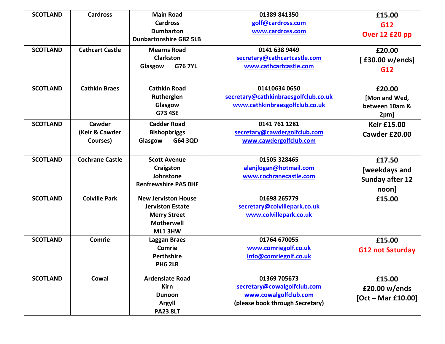| <b>SCOTLAND</b> | <b>Cardross</b>                      | <b>Main Road</b><br><b>Cardross</b><br><b>Dumbarton</b>                                                      | 01389 841350<br>golf@cardross.com<br>www.cardross.com                                                   | £15.00<br>G12<br>Over 12 £20 pp                            |
|-----------------|--------------------------------------|--------------------------------------------------------------------------------------------------------------|---------------------------------------------------------------------------------------------------------|------------------------------------------------------------|
| <b>SCOTLAND</b> | <b>Cathcart Castle</b>               | <b>Dunbartonshire G82 5LB</b><br><b>Mearns Road</b><br><b>Clarkston</b><br><b>G76 7YL</b><br>Glasgow         | 0141 638 9449<br>secretary@cathcartcastle.com<br>www.cathcartcastle.com                                 | £20.00<br>[£30.00 w/ends]<br>G12                           |
| <b>SCOTLAND</b> | <b>Cathkin Braes</b>                 | <b>Cathkin Road</b><br>Rutherglen<br>Glasgow<br><b>G73 4SE</b>                                               | 01410634 0650<br>secretary@cathkinbraesgolfclub.co.uk<br>www.cathkinbraesgolfclub.co.uk                 | £20.00<br>[Mon and Wed,<br>between 10am &<br>2pm]          |
| <b>SCOTLAND</b> | Cawder<br>(Keir & Cawder<br>Courses) | <b>Cadder Road</b><br><b>Bishopbriggs</b><br>G64 3QD<br>Glasgow                                              | 0141 761 1281<br>secretary@cawdergolfclub.com<br>www.cawdergolfclub.com                                 | <b>Keir £15.00</b><br>Cawder £20.00                        |
| <b>SCOTLAND</b> | <b>Cochrane Castle</b>               | <b>Scott Avenue</b><br>Craigston<br>Johnstone<br><b>Renfrewshire PA5 OHF</b>                                 | 01505 328465<br>alanjlogan@hotmail.com<br>www.cochranecastle.com                                        | £17.50<br>[weekdays and<br><b>Sunday after 12</b><br>noon] |
| <b>SCOTLAND</b> | <b>Colville Park</b>                 | <b>New Jerviston House</b><br><b>Jerviston Estate</b><br><b>Merry Street</b><br><b>Motherwell</b><br>ML1 3HW | 01698 265779<br>secretary@colvillepark.co.uk<br>www.colvillepark.co.uk                                  | £15.00                                                     |
| <b>SCOTLAND</b> | Comrie                               | <b>Laggan Braes</b><br>Comrie<br>Perthshire<br><b>PH6 2LR</b>                                                | 01764 670055<br>www.comriegolf.co.uk<br>info@comriegolf.co.uk                                           | £15.00<br><b>G12 not Saturday</b>                          |
| <b>SCOTLAND</b> | Cowal                                | <b>Ardenslate Road</b><br><b>Kirn</b><br><b>Dunoon</b><br>Argyll<br><b>PA23 8LT</b>                          | 01369 705673<br>secretary@cowalgolfclub.com<br>www.cowalgolfclub.com<br>(please book through Secretary) | £15.00<br>£20.00 w/ends<br>$[Oct - Mar £10.00]$            |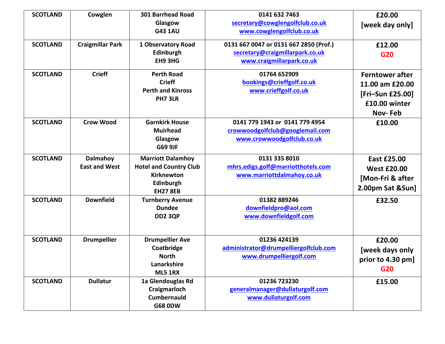| <b>SCOTLAND</b> | Cowglen                                 | 301 Barrhead Road<br>Glasgow<br><b>G43 1AU</b>                                                                 | 0141 632 7463<br>secretary@cowglengolfclub.co.uk<br>www.cowglengolfclub.co.uk                          | £20.00<br>[week day only]                                                                        |
|-----------------|-----------------------------------------|----------------------------------------------------------------------------------------------------------------|--------------------------------------------------------------------------------------------------------|--------------------------------------------------------------------------------------------------|
| <b>SCOTLAND</b> | <b>Craigmillar Park</b>                 | 1 Observatory Road<br>Edinburgh<br>EH9 3HG                                                                     | 0131 667 0047 or 0131 667 2850 (Prof.)<br>secretary@craigmillarpark.co.uk<br>www.craigmillarpark.co.uk | £12.00<br>G20                                                                                    |
| <b>SCOTLAND</b> | <b>Crieff</b>                           | <b>Perth Road</b><br><b>Crieff</b><br><b>Perth and Kinross</b><br>PH7 3LR                                      | 01764 652909<br>bookings@crieffgolf.co.uk<br>www.crieffgolf.co.uk                                      | <b>Ferntower after</b><br>11.00 am £20.00<br>[Fri-Sun £25.00]<br>£10.00 winter<br><b>Nov-Feb</b> |
| <b>SCOTLAND</b> | <b>Crow Wood</b>                        | <b>Garnkirk House</b><br><b>Muirhead</b><br>Glasgow<br>G69 9JF                                                 | 0141 779 1943 or 0141 779 4954<br>crowwoodgolfclub@googlemail.com<br>www.crowwoodgolfclub.co.uk        | £10.00                                                                                           |
| <b>SCOTLAND</b> | <b>Dalmahoy</b><br><b>East and West</b> | <b>Marriott Dalamhoy</b><br><b>Hotel and Country Club</b><br><b>Kirknewton</b><br>Edinburgh<br><b>EH27 8EB</b> | 0131 335 8010<br>mhrs.edigs.golf@marriotthotels.com<br>www.marriottdalmahoy.co.uk                      | <b>East £25.00</b><br><b>West £20.00</b><br>[Mon-Fri & after<br>2.00pm Sat &Sun]                 |
| <b>SCOTLAND</b> | <b>Downfield</b>                        | <b>Turnberry Avenue</b><br><b>Dundee</b><br><b>DD2 3QP</b>                                                     | 01382 889246<br>downfieldpro@aol.com<br>www.downfieldgolf.com                                          | £32.50                                                                                           |
| <b>SCOTLAND</b> | <b>Drumpellier</b>                      | <b>Drumpellier Ave</b><br>Coatbridge<br><b>North</b><br>Lanarkshire<br><b>ML5 1RX</b>                          | 01236 424139<br>administrator@drumpelliergolfclub.com<br>www.drumpelliergolf.com                       | £20.00<br>[week days only<br>prior to 4.30 pm]<br>G20                                            |
| <b>SCOTLAND</b> | <b>Dullatur</b>                         | 1a Glendouglas Rd<br>Craigmarloch<br><b>Cumbernauld</b><br><b>G68 0DW</b>                                      | 01236 723230<br>generalmanager@dullaturgolf.com<br>www.dullaturgolf.com                                | £15.00                                                                                           |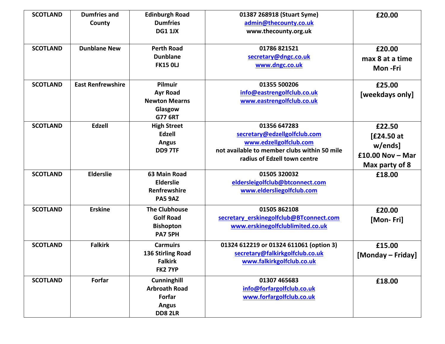| <b>SCOTLAND</b> | <b>Dumfries and</b><br>County | <b>Edinburgh Road</b><br><b>Dumfries</b><br><b>DG1 1JX</b>                             | 01387 268918 (Stuart Syme)<br>admin@thecounty.co.uk<br>www.thecounty.org.uk                                                                            | £20.00                                                                  |
|-----------------|-------------------------------|----------------------------------------------------------------------------------------|--------------------------------------------------------------------------------------------------------------------------------------------------------|-------------------------------------------------------------------------|
| <b>SCOTLAND</b> | <b>Dunblane New</b>           | <b>Perth Road</b><br><b>Dunblane</b><br><b>FK15 OLJ</b>                                | 01786 821521<br>secretary@dngc.co.uk<br>www.dngc.co.uk                                                                                                 | £20.00<br>max 8 at a time<br>Mon-Fri                                    |
| <b>SCOTLAND</b> | <b>East Renfrewshire</b>      | Pilmuir<br><b>Ayr Road</b><br><b>Newton Mearns</b><br>Glasgow<br><b>G77 6RT</b>        | 01355 500206<br>info@eastrengolfclub.co.uk<br>www.eastrengolfclub.co.uk                                                                                | £25.00<br>[weekdays only]                                               |
| <b>SCOTLAND</b> | Edzell                        | <b>High Street</b><br><b>Edzell</b><br><b>Angus</b><br>DD97TF                          | 01356 647283<br>secretary@edzellgolfclub.com<br>www.edzellgolfclub.com<br>not available to member clubs within 50 mile<br>radius of Edzell town centre | £22.50<br>[£24.50 at<br>w/ends]<br>£10.00 Nov $-$ Mar<br>Max party of 8 |
| <b>SCOTLAND</b> | <b>Elderslie</b>              | 63 Main Road<br><b>Elderslie</b><br>Renfrewshire<br><b>PA5 9AZ</b>                     | 01505 320032<br>eldersleigolfclub@btconnect.com<br>www.eldersliegolfclub.com                                                                           | £18.00                                                                  |
| <b>SCOTLAND</b> | <b>Erskine</b>                | <b>The Clubhouse</b><br><b>Golf Road</b><br><b>Bishopton</b><br>PA7 5PH                | 01505 862108<br>secretary_erskinegolfclub@BTconnect.com<br>www.erskinegolfclublimited.co.uk                                                            | £20.00<br>[Mon-Fri]                                                     |
| <b>SCOTLAND</b> | <b>Falkirk</b>                | <b>Carmuirs</b><br><b>136 Stirling Road</b><br><b>Falkirk</b><br><b>FK2 7YP</b>        | 01324 612219 or 01324 611061 (option 3)<br>secretary@falkirkgolfclub.co.uk<br>www.falkirkgolfclub.co.uk                                                | £15.00<br>[Monday – Friday]                                             |
| <b>SCOTLAND</b> | Forfar                        | <b>Cunninghill</b><br><b>Arbroath Road</b><br>Forfar<br><b>Angus</b><br><b>DD8 2LR</b> | 01307 465683<br>info@forfargolfclub.co.uk<br>www.forfargolfclub.co.uk                                                                                  | £18.00                                                                  |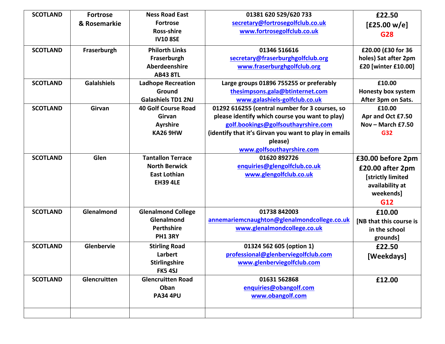| <b>SCOTLAND</b> | <b>Fortrose</b>    | <b>Ness Road East</b>      | 01381 620 529/620 733                                 | £22.50                    |
|-----------------|--------------------|----------------------------|-------------------------------------------------------|---------------------------|
|                 | & Rosemarkie       | <b>Fortrose</b>            | secretary@fortrosegolfclub.co.uk                      | [£25.00 w/e]              |
|                 |                    | <b>Ross-shire</b>          | www.fortrosegolfclub.co.uk                            | G28                       |
|                 |                    | <b>IV10 8SE</b>            |                                                       |                           |
| <b>SCOTLAND</b> | Fraserburgh        | <b>Philorth Links</b>      | 01346 516616                                          | £20.00 (£30 for 36        |
|                 |                    | Fraserburgh                | secretary@fraserburghgolfclub.org                     | holes) Sat after 2pm      |
|                 |                    | Aberdeenshire              | www.fraserburghgolfclub.org                           | £20 [winter £10.00]       |
|                 |                    | <b>AB43 8TL</b>            |                                                       |                           |
| <b>SCOTLAND</b> | <b>Galalshiels</b> | <b>Ladhope Recreation</b>  | Large groups 01896 755255 or preferably               | £10.00                    |
|                 |                    | Ground                     | thesimpsons.gala@btinternet.com                       | <b>Honesty box system</b> |
|                 |                    | <b>Galashiels TD1 2NJ</b>  | www.galashiels-golfclub.co.uk                         | After 3pm on Sats.        |
| <b>SCOTLAND</b> | Girvan             | <b>40 Golf Course Road</b> | 01292 616255 (central number for 3 courses, so        | £10.00                    |
|                 |                    | Girvan                     | please identify which course you want to play)        | Apr and Oct £7.50         |
|                 |                    | <b>Ayrshire</b>            | golf.bookings@golfsouthayrshire.com                   | Nov - March $£7.50$       |
|                 |                    | <b>KA26 9HW</b>            | (identify that it's Girvan you want to play in emails | G32                       |
|                 |                    |                            | please)                                               |                           |
|                 |                    |                            | www.golfsouthayrshire.com                             |                           |
| <b>SCOTLAND</b> | Glen               | <b>Tantallon Terrace</b>   | 01620 892726                                          | £30.00 before 2pm         |
|                 |                    | <b>North Berwick</b>       | enquiries@glengolfclub.co.uk                          | £20.00 after 2pm          |
|                 |                    | <b>East Lothian</b>        | www.glengolfclub.co.uk                                | [strictly limited         |
|                 |                    | <b>EH39 4LE</b>            |                                                       | availability at           |
|                 |                    |                            |                                                       | weekends]                 |
|                 |                    |                            |                                                       | G12                       |
| <b>SCOTLAND</b> | Glenalmond         | <b>Glenalmond College</b>  | 01738 842003                                          | £10.00                    |
|                 |                    | Glenalmond                 | annemariemcnaughton@glenalmondcollege.co.uk           | [NB that this course is   |
|                 |                    | Perthshire                 | www.glenalmondcollege.co.uk                           | in the school             |
|                 |                    | <b>PH1 3RY</b>             |                                                       | grounds]                  |
| <b>SCOTLAND</b> | Glenbervie         | <b>Stirling Road</b>       | 01324 562 605 (option 1)                              | £22.50                    |
|                 |                    | Larbert                    | professional@glenberviegolfclub.com                   | [Weekdays]                |
|                 |                    | <b>Stirlingshire</b>       | www.glenberviegolfclub.com                            |                           |
|                 |                    | FK54SJ                     |                                                       |                           |
| <b>SCOTLAND</b> | Glencruitten       | <b>Glencruitten Road</b>   | 01631 562868                                          | £12.00                    |
|                 |                    | Oban                       | enquiries@obangolf.com                                |                           |
|                 |                    | <b>PA34 4PU</b>            | www.obangolf.com                                      |                           |
|                 |                    |                            |                                                       |                           |
|                 |                    |                            |                                                       |                           |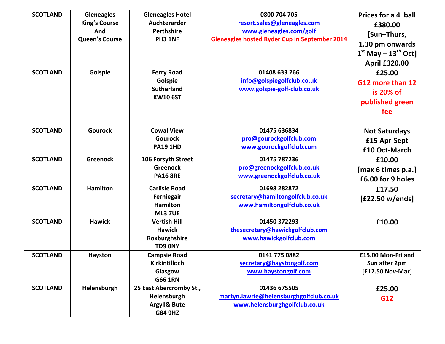| <b>SCOTLAND</b><br><b>SCOTLAND</b> | <b>Gleneagles</b><br><b>King's Course</b><br>And<br><b>Queen's Course</b><br>Golspie | <b>Gleneagles Hotel</b><br>Auchterarder<br><b>Perthshire</b><br>PH3 1NF<br><b>Ferry Road</b><br>Golspie<br><b>Sutherland</b><br><b>KW10 6ST</b> | 0800 704 705<br>resort.sales@gleneagles.com<br>www.gleneagles.com/golf<br><b>Gleneagles hosted Ryder Cup in September 2014</b><br>01408 633 266<br>info@golspiegolfclub.co.uk<br>www.golspie-golf-club.co.uk | Prices for a 4 ball<br>£380.00<br>[Sun-Thurs,<br>1.30 pm onwards<br>$1st$ May – $13th$ Oct]<br><b>April £320.00</b><br>£25.00<br>G12 more than 12<br>is 20% of<br>published green |
|------------------------------------|--------------------------------------------------------------------------------------|-------------------------------------------------------------------------------------------------------------------------------------------------|--------------------------------------------------------------------------------------------------------------------------------------------------------------------------------------------------------------|-----------------------------------------------------------------------------------------------------------------------------------------------------------------------------------|
|                                    |                                                                                      |                                                                                                                                                 |                                                                                                                                                                                                              | fee                                                                                                                                                                               |
| <b>SCOTLAND</b>                    | <b>Gourock</b>                                                                       | <b>Cowal View</b><br><b>Gourock</b><br><b>PA19 1HD</b>                                                                                          | 01475 636834<br>pro@gourockgolfclub.com<br>www.gourockgolfclub.com                                                                                                                                           | <b>Not Saturdays</b><br>£15 Apr-Sept<br>£10 Oct-March                                                                                                                             |
| <b>SCOTLAND</b>                    | <b>Greenock</b>                                                                      | 106 Forsyth Street<br><b>Greenock</b><br><b>PA16 8RE</b>                                                                                        | 01475 787236<br>pro@greenockgolfclub.co.uk<br>www.greenockgolfclub.co.uk                                                                                                                                     | £10.00<br>[max 6 times p.a.]<br>£6.00 for 9 holes                                                                                                                                 |
| <b>SCOTLAND</b>                    | <b>Hamilton</b>                                                                      | <b>Carlisle Road</b><br>Ferniegair<br><b>Hamilton</b><br><b>ML3 7UE</b>                                                                         | 01698 282872<br>secretary@hamiltongolfclub.co.uk<br>www.hamiltongolfclub.co.uk                                                                                                                               | £17.50<br>[£22.50 w/ends]                                                                                                                                                         |
| <b>SCOTLAND</b>                    | <b>Hawick</b>                                                                        | <b>Vertish Hill</b><br><b>Hawick</b><br>Roxburghshire<br>TD9 0NY                                                                                | 01450 372293<br>thesecretary@hawickgolfclub.com<br>www.hawickgolfclub.com                                                                                                                                    | £10.00                                                                                                                                                                            |
| <b>SCOTLAND</b>                    | Hayston                                                                              | <b>Campsie Road</b><br>Kirkintilloch<br>Glasgow<br><b>G66 1RN</b>                                                                               | 0141 775 0882<br>secretary@haystongolf.com<br>www.haystongolf.com                                                                                                                                            | £15.00 Mon-Fri and<br>Sun after 2pm<br>[£12.50 Nov-Mar]                                                                                                                           |
| <b>SCOTLAND</b>                    | Helensburgh                                                                          | 25 East Abercromby St.,<br>Helensburgh<br><b>Argyll&amp; Bute</b><br><b>G84 9HZ</b>                                                             | 01436 675505<br>martyn.lawrie@helensburghgolfclub.co.uk<br>www.helensburghgolfclub.co.uk                                                                                                                     | £25.00<br>G12                                                                                                                                                                     |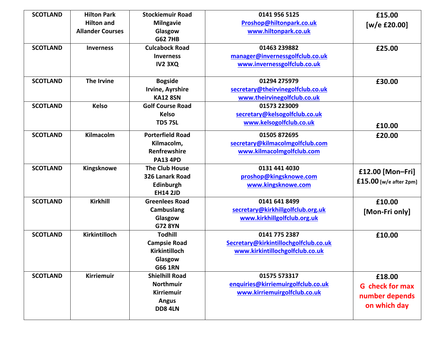| <b>SCOTLAND</b> | <b>Hilton Park</b>      | <b>Stockiemuir Road</b> | 0141 956 5125                         | £15.00                   |
|-----------------|-------------------------|-------------------------|---------------------------------------|--------------------------|
|                 | <b>Hilton and</b>       | <b>Milngavie</b>        | Proshop@hiltonpark.co.uk              | [w/e £20.00]             |
|                 | <b>Allander Courses</b> | Glasgow                 | www.hiltonpark.co.uk                  |                          |
|                 |                         | <b>G62 7HB</b>          |                                       |                          |
| <b>SCOTLAND</b> | <b>Inverness</b>        | <b>Culcabock Road</b>   | 01463 239882                          | £25.00                   |
|                 |                         | <b>Inverness</b>        | manager@invernessgolfclub.co.uk       |                          |
|                 |                         | <b>IV2 3XQ</b>          | www.invernessgolfclub.co.uk           |                          |
|                 |                         |                         |                                       |                          |
| <b>SCOTLAND</b> | <b>The Irvine</b>       | <b>Bogside</b>          | 01294 275979                          | £30.00                   |
|                 |                         | Irvine, Ayrshire        | secretary@theirvinegolfclub.co.uk     |                          |
|                 |                         | <b>KA12 8SN</b>         | www.theirvinegolfclub.co.uk           |                          |
| <b>SCOTLAND</b> | <b>Kelso</b>            | <b>Golf Course Road</b> | 01573 223009                          |                          |
|                 |                         | <b>Kelso</b>            | secretary@kelsogolfclub.co.uk         |                          |
|                 |                         | <b>TD5 7SL</b>          | www.kelsogolfclub.co.uk               | £10.00                   |
| <b>SCOTLAND</b> | Kilmacolm               | <b>Porterfield Road</b> | 01505 872695                          | £20.00                   |
|                 |                         | Kilmacolm,              | secretary@kilmacolmgolfclub.com       |                          |
|                 |                         | <b>Renfrewshire</b>     | www.kilmacolmgolfclub.com             |                          |
|                 |                         | <b>PA13 4PD</b>         |                                       |                          |
| <b>SCOTLAND</b> | Kingsknowe              | <b>The Club House</b>   | 0131 441 4030                         | £12.00 [Mon-Fri]         |
|                 |                         | 326 Lanark Road         | proshop@kingsknowe.com                |                          |
|                 |                         | Edinburgh               | www.kingsknowe.com                    | $£15.00$ [w/e after 2pm] |
|                 |                         | <b>EH14 2JD</b>         |                                       |                          |
| <b>SCOTLAND</b> | Kirkhill                | <b>Greenlees Road</b>   | 0141 641 8499                         | £10.00                   |
|                 |                         | Cambuslang              | secretary@kirkhillgolfclub.org.uk     | [Mon-Fri only]           |
|                 |                         | Glasgow                 | www.kirkhillgolfclub.org.uk           |                          |
|                 |                         | <b>G72 8YN</b>          |                                       |                          |
| <b>SCOTLAND</b> | Kirkintilloch           | <b>Todhill</b>          | 0141 775 2387                         | £10.00                   |
|                 |                         | <b>Campsie Road</b>     | Secretary@kirkintillochgolfclub.co.uk |                          |
|                 |                         | Kirkintilloch           | www.kirkintillochgolfclub.co.uk       |                          |
|                 |                         | Glasgow                 |                                       |                          |
|                 |                         | <b>G66 1RN</b>          |                                       |                          |
| <b>SCOTLAND</b> | <b>Kirriemuir</b>       | <b>Shielhill Road</b>   | 01575 573317                          | £18.00                   |
|                 |                         | Northmuir               | enquiries@kirriemuirgolfclub.co.uk    | <b>G</b> check for max   |
|                 |                         | <b>Kirriemuir</b>       | www.kirriemuirgolfclub.co.uk          | number depends           |
|                 |                         | <b>Angus</b>            |                                       | on which day             |
|                 |                         | <b>DD8 4LN</b>          |                                       |                          |
|                 |                         |                         |                                       |                          |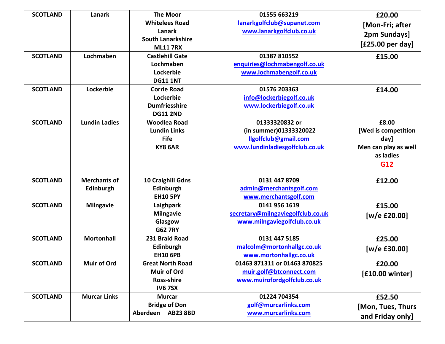| <b>SCOTLAND</b> | Lanark               | <b>The Moor</b>          | 01555 663219                      | £20.00               |
|-----------------|----------------------|--------------------------|-----------------------------------|----------------------|
|                 |                      | <b>Whitelees Road</b>    | lanarkgolfclub@supanet.com        | [Mon-Fri; after      |
|                 |                      | Lanark                   | www.lanarkgolfclub.co.uk          | 2pm Sundays]         |
|                 |                      | <b>South Lanarkshire</b> |                                   | [£25.00 per day]     |
|                 |                      | <b>ML11 7RX</b>          |                                   |                      |
| <b>SCOTLAND</b> | Lochmaben            | <b>Castlehill Gate</b>   | 01387 810552                      | £15.00               |
|                 |                      | Lochmaben                | enquiries@lochmabengolf.co.uk     |                      |
|                 |                      | Lockerbie                | www.lochmabengolf.co.uk           |                      |
|                 |                      | <b>DG11 1NT</b>          |                                   |                      |
| <b>SCOTLAND</b> | Lockerbie            | <b>Corrie Road</b>       | 01576 203363                      | £14.00               |
|                 |                      | Lockerbie                | info@lockerbiegolf.co.uk          |                      |
|                 |                      | <b>Dumfriesshire</b>     | www.lockerbiegolf.co.uk           |                      |
|                 |                      | <b>DG11 2ND</b>          |                                   |                      |
| <b>SCOTLAND</b> | <b>Lundin Ladies</b> | <b>Woodlea Road</b>      | 01333320832 or                    | £8.00                |
|                 |                      | <b>Lundin Links</b>      | (in summer)01333320022            | [Wed is competition  |
|                 |                      | <b>Fife</b>              | llgolfclub@gmail.com              | day]                 |
|                 |                      | KY8 6AR                  | www.lundinladiesgolfclub.co.uk    | Men can play as well |
|                 |                      |                          |                                   | as ladies            |
|                 |                      |                          |                                   | G12                  |
|                 |                      |                          |                                   |                      |
| <b>SCOTLAND</b> | <b>Merchants of</b>  | 10 Craighill Gdns        | 0131 447 8709                     | £12.00               |
|                 | Edinburgh            | Edinburgh                | admin@merchantsgolf.com           |                      |
|                 |                      | <b>EH10 5PY</b>          | www.merchantsgolf.com             |                      |
| <b>SCOTLAND</b> | <b>Milngavie</b>     | Laighpark                | 0141 956 1619                     | £15.00               |
|                 |                      | <b>Milngavie</b>         | secretary@milngaviegolfclub.co.uk | [w/e £20.00]         |
|                 |                      | Glasgow                  | www.milngaviegolfclub.co.uk       |                      |
|                 |                      | <b>G62 7RY</b>           |                                   |                      |
| <b>SCOTLAND</b> | <b>Mortonhall</b>    | 231 Braid Road           | 0131 447 5185                     | £25.00               |
|                 |                      | Edinburgh                | malcolm@mortonhallgc.co.uk        | [w/e $£30.00]$       |
|                 |                      | <b>EH10 6PB</b>          | www.mortonhallgc.co.uk            |                      |
| <b>SCOTLAND</b> | <b>Muir of Ord</b>   | <b>Great North Road</b>  | 01463 871311 or 01463 870825      | £20.00               |
|                 |                      | <b>Muir of Ord</b>       | muir.golf@btconnect.com           | [£10.00 winter]      |
|                 |                      | <b>Ross-shire</b>        | www.muirofordgolfclub.co.uk       |                      |
|                 |                      | <b>IV67SX</b>            |                                   |                      |
| <b>SCOTLAND</b> | <b>Murcar Links</b>  | <b>Murcar</b>            | 01224 704354                      | £52.50               |
|                 |                      | <b>Bridge of Don</b>     | golf@murcarlinks.com              |                      |
|                 |                      | Aberdeen AB23 8BD        | www.murcarlinks.com               | [Mon, Tues, Thurs    |
|                 |                      |                          |                                   | and Friday only]     |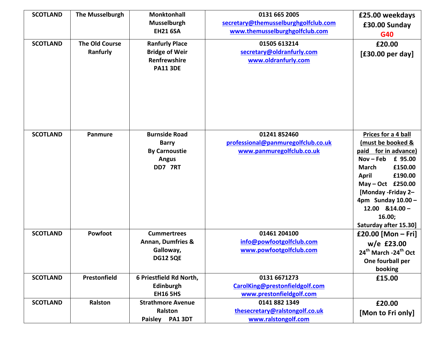| <b>SCOTLAND</b><br><b>SCOTLAND</b> | <b>The Musselburgh</b><br><b>The Old Course</b><br>Ranfurly | <b>Monktonhall</b><br><b>Musselburgh</b><br><b>EH21 6SA</b><br><b>Ranfurly Place</b><br><b>Bridge of Weir</b><br>Renfrewshire<br><b>PA11 3DE</b> | 0131 665 2005<br>secretary@themusselburghgolfclub.com<br>www.themusselburghgolfclub.com<br>01505 613214<br>secretary@oldranfurly.com<br>www.oldranfurly.com | £25.00 weekdays<br>£30.00 Sunday<br>G40<br>£20.00<br>$[£30.00$ per day] |
|------------------------------------|-------------------------------------------------------------|--------------------------------------------------------------------------------------------------------------------------------------------------|-------------------------------------------------------------------------------------------------------------------------------------------------------------|-------------------------------------------------------------------------|
| <b>SCOTLAND</b>                    | Panmure                                                     | <b>Burnside Road</b>                                                                                                                             | 01241 852460                                                                                                                                                | Prices for a 4 ball                                                     |
|                                    |                                                             | <b>Barry</b><br><b>By Carnoustie</b>                                                                                                             | professional@panmuregolfclub.co.uk<br>www.panmuregolfclub.co.uk                                                                                             | (must be booked &<br>paid for in advance)                               |
|                                    |                                                             | <b>Angus</b>                                                                                                                                     |                                                                                                                                                             | £ 95.00<br>$Nov - Feb$                                                  |
|                                    |                                                             | DD7 7RT                                                                                                                                          |                                                                                                                                                             | £150.00<br><b>March</b>                                                 |
|                                    |                                                             |                                                                                                                                                  |                                                                                                                                                             | <b>April</b><br>£190.00                                                 |
|                                    |                                                             |                                                                                                                                                  |                                                                                                                                                             | May - Oct £250.00<br>[Monday - Friday 2-                                |
|                                    |                                                             |                                                                                                                                                  |                                                                                                                                                             | 4pm Sunday $10.00 -$                                                    |
|                                    |                                                             |                                                                                                                                                  |                                                                                                                                                             | $12.00$ $&14.00 -$                                                      |
|                                    |                                                             |                                                                                                                                                  |                                                                                                                                                             | 16.00;                                                                  |
| <b>SCOTLAND</b>                    | Powfoot                                                     | <b>Cummertrees</b>                                                                                                                               | 01461 204100                                                                                                                                                | Saturday after 15.30]                                                   |
|                                    |                                                             | <b>Annan, Dumfries &amp;</b>                                                                                                                     | info@powfootgolfclub.com                                                                                                                                    | £20.00 [Mon $-$ Fri]<br>$w/e$ £23.00                                    |
|                                    |                                                             | Galloway,                                                                                                                                        | www.powfootgolfclub.com                                                                                                                                     | 24 <sup>th</sup> March -24 <sup>th</sup> Oct                            |
|                                    |                                                             | <b>DG12 5QE</b>                                                                                                                                  |                                                                                                                                                             | One fourball per                                                        |
|                                    |                                                             |                                                                                                                                                  |                                                                                                                                                             | booking                                                                 |
| <b>SCOTLAND</b>                    | Prestonfield                                                | 6 Priestfield Rd North,                                                                                                                          | 0131 6671273                                                                                                                                                | £15.00                                                                  |
|                                    |                                                             | Edinburgh                                                                                                                                        | CarolKing@prestonfieldgolf.com                                                                                                                              |                                                                         |
|                                    |                                                             | <b>EH16 5HS</b>                                                                                                                                  | www.prestonfieldgolf.com                                                                                                                                    |                                                                         |
| <b>SCOTLAND</b>                    | Ralston                                                     | <b>Strathmore Avenue</b>                                                                                                                         | 0141 882 1349                                                                                                                                               | £20.00                                                                  |
|                                    |                                                             | Ralston                                                                                                                                          | thesecretary@ralstongolf.co.uk                                                                                                                              | [Mon to Fri only]                                                       |
|                                    |                                                             | <b>PA1 3DT</b><br><b>Paisley</b>                                                                                                                 | www.ralstongolf.com                                                                                                                                         |                                                                         |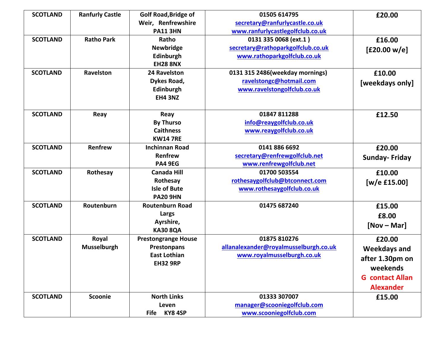| <b>SCOTLAND</b> | <b>Ranfurly Castle</b> | <b>Golf Road, Bridge of</b> | 01505 614795                          | £20.00                 |
|-----------------|------------------------|-----------------------------|---------------------------------------|------------------------|
|                 |                        | Weir, Renfrewshire          | secretary@ranfurlycastle.co.uk        |                        |
|                 |                        | <b>PA11 3HN</b>             | www.ranfurlycastlegolfclub.co.uk      |                        |
| <b>SCOTLAND</b> | <b>Ratho Park</b>      | Ratho                       | 0131 335 0068 (ext.1)                 | £16.00                 |
|                 |                        | <b>Newbridge</b>            | secretary@rathoparkgolfclub.co.uk     | [£20.00 w/e]           |
|                 |                        | Edinburgh                   | www.rathoparkgolfclub.co.uk           |                        |
|                 |                        | <b>EH28 8NX</b>             |                                       |                        |
| <b>SCOTLAND</b> | Ravelston              | 24 Ravelston                | 0131 315 2486(weekday mornings)       | £10.00                 |
|                 |                        | Dykes Road,                 | ravelstongc@hotmail.com               | [weekdays only]        |
|                 |                        | Edinburgh                   | www.ravelstongolfclub.co.uk           |                        |
|                 |                        | <b>EH4 3NZ</b>              |                                       |                        |
| <b>SCOTLAND</b> | Reay                   | Reay                        | 01847 811288                          | £12.50                 |
|                 |                        | <b>By Thurso</b>            | info@reaygolfclub.co.uk               |                        |
|                 |                        | <b>Caithness</b>            | www.reaygolfclub.co.uk                |                        |
|                 |                        | <b>KW14 7RE</b>             |                                       |                        |
| <b>SCOTLAND</b> | Renfrew                | <b>Inchinnan Road</b>       | 0141 886 6692                         | £20.00                 |
|                 |                        | Renfrew                     | secretary@renfrewgolfclub.net         | <b>Sunday-Friday</b>   |
|                 |                        | <b>PA4 9EG</b>              | www.renfrewgolfclub.net               |                        |
| <b>SCOTLAND</b> | Rothesay               | <b>Canada Hill</b>          | 01700 503554                          | £10.00                 |
|                 |                        | Rothesay                    | rothesaygolfclub@btconnect.com        | [ $w/e$ £15.00]        |
|                 |                        | <b>Isle of Bute</b>         | www.rothesaygolfclub.co.uk            |                        |
|                 |                        | <b>PA20 9HN</b>             |                                       |                        |
| <b>SCOTLAND</b> | Routenburn             | <b>Routenburn Road</b>      | 01475 687240                          | £15.00                 |
|                 |                        | Largs                       |                                       | £8.00                  |
|                 |                        | Ayrshire,                   |                                       | $[Nov - Mar]$          |
|                 |                        | <b>KA30 8QA</b>             |                                       |                        |
| <b>SCOTLAND</b> | Royal                  | <b>Prestongrange House</b>  | 01875 810276                          | £20.00                 |
|                 | Musselburgh            | <b>Prestonpans</b>          | allanalexander@royalmusselburgh.co.uk | <b>Weekdays and</b>    |
|                 |                        | <b>East Lothian</b>         | www.royalmusselburgh.co.uk            | after 1.30pm on        |
|                 |                        | <b>EH32 9RP</b>             |                                       | weekends               |
|                 |                        |                             |                                       | <b>G</b> contact Allan |
|                 |                        |                             |                                       |                        |
|                 |                        |                             |                                       | <b>Alexander</b>       |
| <b>SCOTLAND</b> | <b>Scoonie</b>         | <b>North Links</b>          | 01333 307007                          | £15.00                 |
|                 |                        | Leven                       | manager@scooniegolfclub.com           |                        |
|                 |                        | KY8 4SP<br>Fife             | www.scooniegolfclub.com               |                        |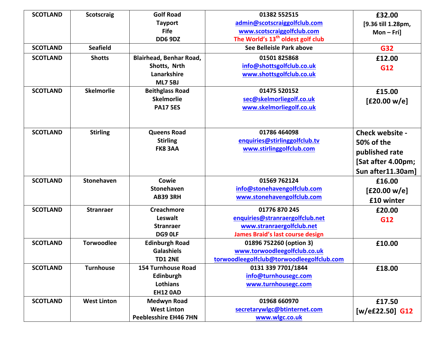| <b>SCOTLAND</b> | <b>Scotscraig</b>  | <b>Golf Road</b>               | 01382 552515                                  | £32.00             |
|-----------------|--------------------|--------------------------------|-----------------------------------------------|--------------------|
|                 |                    | <b>Tayport</b>                 | admin@scotscraiggolfclub.com                  | [9.36 till 1.28pm, |
|                 |                    | <b>Fife</b>                    | www.scotscraiggolfclub.com                    | $Mon-Fri]$         |
|                 |                    | <b>DD6 9DZ</b>                 | The World's 13 <sup>th</sup> oldest golf club |                    |
| <b>SCOTLAND</b> | <b>Seafield</b>    |                                | See Belleisle Park above                      | G32                |
| <b>SCOTLAND</b> | <b>Shotts</b>      | <b>Blairhead, Benhar Road,</b> | 01501825868                                   | £12.00             |
|                 |                    | Shotts, Nrth                   | info@shottsgolfclub.co.uk                     | G12                |
|                 |                    | Lanarkshire                    | www.shottsgolfclub.co.uk                      |                    |
|                 |                    | <b>ML7 5BJ</b>                 |                                               |                    |
| <b>SCOTLAND</b> | <b>Skelmorlie</b>  | <b>Beithglass Road</b>         | 01475 520152                                  | £15.00             |
|                 |                    | Skelmorlie                     | sec@skelmorliegolf.co.uk                      | [£20.00 w/e]       |
|                 |                    | <b>PA17 5ES</b>                | www.skelmorliegolf.co.uk                      |                    |
|                 |                    |                                |                                               |                    |
|                 |                    |                                |                                               |                    |
| <b>SCOTLAND</b> | <b>Stirling</b>    | <b>Queens Road</b>             | 01786 464098                                  | Check website -    |
|                 |                    | <b>Stirling</b>                | enquiries@stirlinggolfclub.tv                 | 50% of the         |
|                 |                    | <b>FK8 3AA</b>                 | www.stirlinggolfclub.com                      | published rate     |
|                 |                    |                                |                                               | [Sat after 4.00pm; |
|                 |                    |                                |                                               | Sun after11.30am]  |
| <b>SCOTLAND</b> | <b>Stonehaven</b>  | Cowie                          | 01569 762124                                  | £16.00             |
|                 |                    | <b>Stonehaven</b>              | info@stonehavengolfclub.com                   | [£20.00 w/e]       |
|                 |                    | <b>AB39 3RH</b>                | www.stonehavengolfclub.com                    |                    |
|                 |                    |                                |                                               | £10 winter         |
| <b>SCOTLAND</b> | <b>Stranraer</b>   | <b>Creachmore</b>              | 01776 870 245                                 | £20.00             |
|                 |                    | Leswalt                        | enquiries@stranraergolfclub.net               | G12                |
|                 |                    | <b>Stranraer</b>               | www.stranraergolfclub.net                     |                    |
|                 |                    | DG9 OLF                        | <b>James Braid's last course design</b>       |                    |
| <b>SCOTLAND</b> | <b>Torwoodlee</b>  | <b>Edinburgh Road</b>          | 01896 752260 (option 3)                       | £10.00             |
|                 |                    | <b>Galashiels</b>              | www.torwoodleegolfclub.co.uk                  |                    |
|                 |                    | <b>TD1 2NE</b>                 | torwoodleegolfclub@torwoodleegolfclub.com     |                    |
| <b>SCOTLAND</b> | <b>Turnhouse</b>   | <b>154 Turnhouse Road</b>      | 0131 339 7701/1844                            | £18.00             |
|                 |                    | Edinburgh                      | info@turnhousegc.com                          |                    |
|                 |                    | Lothians                       | www.turnhousegc.com                           |                    |
|                 |                    | <b>EH12 0AD</b>                |                                               |                    |
| <b>SCOTLAND</b> | <b>West Linton</b> | <b>Medwyn Road</b>             | 01968 660970                                  | £17.50             |
|                 |                    | <b>West Linton</b>             | secretarywlgc@btinternet.com                  | $[w/eE22.50]$ G12  |
|                 |                    | <b>Peeblesshire EH46 7HN</b>   | www.wlgc.co.uk                                |                    |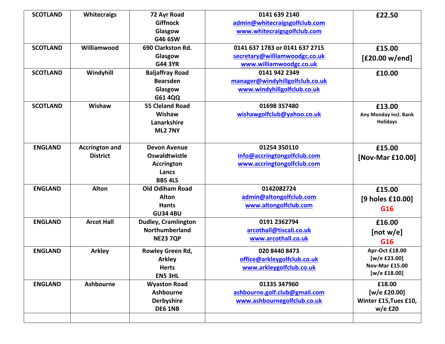| <b>SCOTLAND</b> | <b>Whitecraigs</b>    | 72 Ayr Road                | 0141 639 2140                   | £22.50                |
|-----------------|-----------------------|----------------------------|---------------------------------|-----------------------|
|                 |                       | <b>Giffnock</b>            | admin@whitecraigsgolfclub.com   |                       |
|                 |                       | Glasgow                    | www.whitecraigsgolfclub.com     |                       |
|                 |                       | G46 6SW                    |                                 |                       |
| <b>SCOTLAND</b> | Williamwood           | 690 Clarkston Rd.          | 0141 637 1783 or 0141 637 2715  | £15.00                |
|                 |                       | Glasgow                    | secretary@williamwoodgc.co.uk   | [£20.00 w/end]        |
|                 |                       | <b>G44 3YR</b>             | www.williamwoodgc.co.uk         |                       |
| <b>SCOTLAND</b> | Windyhill             | <b>Baljaffray Road</b>     | 0141 942 2349                   | £10.00                |
|                 |                       | <b>Bearsden</b>            | manager@windyhillgolfclub.co.uk |                       |
|                 |                       | Glasgow                    | www.windyhillgolfclub.co.uk     |                       |
|                 |                       | G61 4QQ                    |                                 |                       |
| <b>SCOTLAND</b> | Wishaw                | <b>55 Cleland Road</b>     | 01698 357480                    | £13.00                |
|                 |                       | Wishaw                     | wishawgolfclub@yahoo.co.uk      | Any Monday incl. Bank |
|                 |                       | Lanarkshire                |                                 | <b>Holidays</b>       |
|                 |                       | <b>ML2 7NY</b>             |                                 |                       |
|                 |                       |                            |                                 |                       |
| <b>ENGLAND</b>  | <b>Accrington and</b> | <b>Devon Avenue</b>        | 01254 350110                    | £15.00                |
|                 | <b>District</b>       | Oswaldtwistle              | info@accringtongolfclub.com     | [Nov-Mar £10.00]      |
|                 |                       | <b>Accrington</b>          | www.accringtongolfclub.com      |                       |
|                 |                       | Lancs                      |                                 |                       |
|                 |                       | <b>BB5 4LS</b>             |                                 |                       |
| <b>ENGLAND</b>  | <b>Alton</b>          | <b>Old Odiham Road</b>     | 0142082724                      | £15.00                |
|                 |                       | <b>Alton</b>               | admin@altongolfclub.com         | [9 holes £10.00]      |
|                 |                       | <b>Hants</b>               | www.altongolfclub.com           | G16                   |
|                 |                       | <b>GU34 4BU</b>            |                                 |                       |
| <b>ENGLAND</b>  | <b>Arcot Hall</b>     | <b>Dudley, Cramlington</b> | 0191 2362794                    | £16.00                |
|                 |                       | <b>Northumberland</b>      | arcothall@tiscali.co.uk         | [not w/e]             |
|                 |                       | <b>NE23 7QP</b>            | www.arcothall.co.uk             | G16                   |
| <b>ENGLAND</b>  | <b>Arkley</b>         | Rowley Green Rd,           | 020 8440 8473                   | Apr-Oct £18.00        |
|                 |                       | <b>Arkley</b>              | office@arkleygolfclub.co.uk     | [w/e £23.00]          |
|                 |                       | <b>Herts</b>               | www.arkleygolfclub.co.uk        | Nov-Mar £15.00        |
|                 |                       | EN5 3HL                    |                                 | $[w/e$ £18.00]        |
| <b>ENGLAND</b>  | <b>Ashbourne</b>      | <b>Wyaston Road</b>        | 01335 347960                    | £18.00                |
|                 |                       | <b>Ashbourne</b>           | ashbourne.golf.club@gmail.com   | [w/e £20.00]          |
|                 |                       | <b>Derbyshire</b>          | www.ashbournegolfclub.co.uk     | Winter £15, Tues £10, |
|                 |                       | <b>DE6 1NB</b>             |                                 | $w/e$ £20             |
|                 |                       |                            |                                 |                       |
|                 |                       |                            |                                 |                       |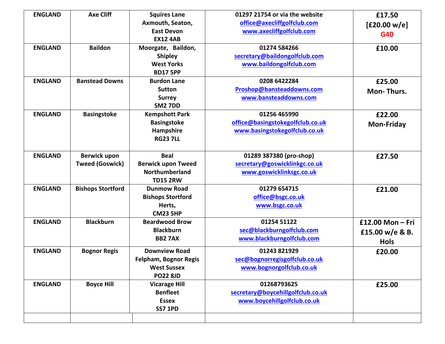| <b>ENGLAND</b><br><b>ENGLAND</b> | <b>Axe Cliff</b><br><b>Baildon</b>     | <b>Squires Lane</b><br>Axmouth, Seaton,<br><b>East Devon</b><br><b>EX12 4AB</b><br>Moorgate, Baildon,<br><b>Shipley</b><br><b>West Yorks</b><br><b>BD17 5PP</b> | 01297 21754 or via the website<br>office@axecliffgolfclub.com<br>www.axecliffgolfclub.com<br>01274 584266<br>secretary@baildongolfclub.com<br>www.baildongolfclub.com | £17.50<br>[£20.00 w/e]<br>G40<br>£10.00              |
|----------------------------------|----------------------------------------|-----------------------------------------------------------------------------------------------------------------------------------------------------------------|-----------------------------------------------------------------------------------------------------------------------------------------------------------------------|------------------------------------------------------|
| <b>ENGLAND</b>                   | <b>Banstead Downs</b>                  | <b>Burdon Lane</b><br><b>Sutton</b><br><b>Surrey</b><br><b>SM2 7DD</b>                                                                                          | 0208 6422284<br>Proshop@bansteaddowns.com<br>www.bansteaddowns.com                                                                                                    | £25.00<br><b>Mon-Thurs.</b>                          |
| <b>ENGLAND</b>                   | <b>Basingstoke</b>                     | <b>Kempshott Park</b><br><b>Basingstoke</b><br>Hampshire<br><b>RG23 7LL</b>                                                                                     | 01256 465990<br>office@basingstokegolfclub.co.uk<br>www.basingstokegolfclub.co.uk                                                                                     | £22.00<br><b>Mon-Friday</b>                          |
| <b>ENGLAND</b>                   | Berwick upon<br><b>Tweed (Goswick)</b> | <b>Beal</b><br><b>Berwick upon Tweed</b><br>Northumberland<br><b>TD15 2RW</b>                                                                                   | 01289 387380 (pro-shop)<br>secretary@goswicklinkgc.co.uk<br>www.goswicklinksgc.co.uk                                                                                  | £27.50                                               |
| <b>ENGLAND</b>                   | <b>Bishops Stortford</b>               | <b>Dunmow Road</b><br><b>Bishops Stortford</b><br>Herts,<br><b>CM23 5HP</b>                                                                                     | 01279 654715<br>office@bsgc.co.uk<br>www.bsgc.co.uk                                                                                                                   | £21.00                                               |
| <b>ENGLAND</b>                   | <b>Blackburn</b>                       | <b>Beardwood Brow</b><br><b>Blackburn</b><br><b>BB27AX</b>                                                                                                      | 01254 51122<br>sec@blackburngolfclub.com<br>www.blackburngolfclub.com                                                                                                 | £12.00 Mon $-$ Fri<br>£15.00 w/e & B.<br><b>Hols</b> |
| <b>ENGLAND</b>                   | <b>Bognor Regis</b>                    | <b>Downview Road</b><br><b>Felpham, Bognor Regis</b><br><b>West Sussex</b><br><b>PO22 8JD</b>                                                                   | 01243 821929<br>sec@bognorregisgolfclub.co.uk<br>www.bognorgolfclub.co.uk                                                                                             | £20.00                                               |
| <b>ENGLAND</b>                   | <b>Boyce Hill</b>                      | <b>Vicarage Hill</b><br><b>Benfleet</b><br><b>Essex</b><br><b>SS7 1PD</b>                                                                                       | 01268793625<br>secretary@boycehillgolfclub.co.uk<br>www.boycehillgolfclub.co.uk                                                                                       | £25.00                                               |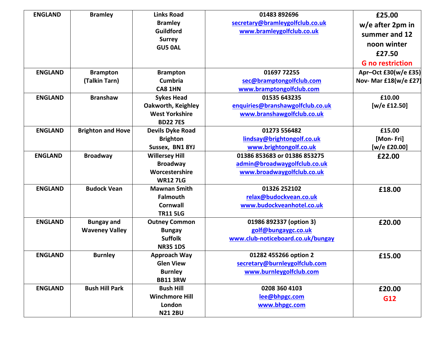| <b>ENGLAND</b> | <b>Bramley</b>           | <b>Links Road</b>         | 01483 892696                      | £25.00                  |
|----------------|--------------------------|---------------------------|-----------------------------------|-------------------------|
|                |                          | <b>Bramley</b>            | secretary@bramleygolfclub.co.uk   | $w/e$ after 2pm in      |
|                |                          | Guildford                 | www.bramleygolfclub.co.uk         | summer and 12           |
|                |                          | <b>Surrey</b>             |                                   | noon winter             |
|                |                          | <b>GU5 0AL</b>            |                                   | £27.50                  |
|                |                          |                           |                                   |                         |
|                |                          |                           |                                   | <b>G</b> no restriction |
| <b>ENGLAND</b> | <b>Brampton</b>          | <b>Brampton</b>           | 01697 72255                       | Apr-Oct £30(w/e £35)    |
|                | (Talkin Tarn)            | <b>Cumbria</b>            | sec@bramptongolfclub.com          | Nov- Mar £18(w/e £27)   |
|                |                          | CA8 1HN                   | www.bramptongolfclub.com          |                         |
| <b>ENGLAND</b> | <b>Branshaw</b>          | <b>Sykes Head</b>         | 01535 643235                      | £10.00                  |
|                |                          | <b>Oakworth, Keighley</b> | enquiries@branshawgolfclub.co.uk  | [w/e £12.50]            |
|                |                          | <b>West Yorkshire</b>     | www.branshawgolfclub.co.uk        |                         |
|                |                          | <b>BD22 7ES</b>           |                                   |                         |
| <b>ENGLAND</b> | <b>Brighton and Hove</b> | <b>Devils Dyke Road</b>   | 01273 556482                      | £15.00                  |
|                |                          | <b>Brighton</b>           | lindsay@brightongolf.co.uk        | [Mon-Fri]               |
|                |                          | Sussex, BN1 8YJ           | www.brightongolf.co.uk            | [w/e £20.00]            |
| <b>ENGLAND</b> | <b>Broadway</b>          | <b>Willersey Hill</b>     | 01386 853683 or 01386 853275      | £22.00                  |
|                |                          | <b>Broadway</b>           | admin@broadwaygolfclub.co.uk      |                         |
|                |                          | Worcestershire            | www.broadwaygolfclub.co.uk        |                         |
|                |                          | <b>WR127LG</b>            |                                   |                         |
| <b>ENGLAND</b> | <b>Budock Vean</b>       | <b>Mawnan Smith</b>       | 01326 252102                      | £18.00                  |
|                |                          | <b>Falmouth</b>           | relax@budockvean.co.uk            |                         |
|                |                          | <b>Cornwall</b>           | www.budockveanhotel.co.uk         |                         |
|                |                          | <b>TR11 5LG</b>           |                                   |                         |
| <b>ENGLAND</b> | <b>Bungay and</b>        | <b>Outney Common</b>      | 01986 892337 (option 3)           | £20.00                  |
|                | <b>Waveney Valley</b>    | <b>Bungay</b>             | golf@bungaygc.co.uk               |                         |
|                |                          | <b>Suffolk</b>            | www.club-noticeboard.co.uk/bungay |                         |
|                |                          | <b>NR35 1DS</b>           |                                   |                         |
| <b>ENGLAND</b> | <b>Burnley</b>           | Approach Way              | 01282 455266 option 2             | £15.00                  |
|                |                          | <b>Glen View</b>          | secretary@burnleygolfclub.com     |                         |
|                |                          | <b>Burnley</b>            | www.burnleygolfclub.com           |                         |
|                |                          | <b>BB11 3RW</b>           |                                   |                         |
| <b>ENGLAND</b> | <b>Bush Hill Park</b>    | <b>Bush Hill</b>          | 0208 360 4103                     | £20.00                  |
|                |                          | <b>Winchmore Hill</b>     | lee@bhpgc.com                     | G12                     |
|                |                          | London                    | www.bhpgc.com                     |                         |
|                |                          | <b>N21 2BU</b>            |                                   |                         |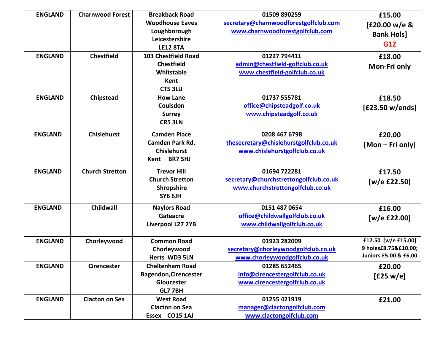| <b>ENGLAND</b> | <b>Charnwood Forest</b> | <b>Breakback Road</b>        | 01509 890259                           | £15.00                |
|----------------|-------------------------|------------------------------|----------------------------------------|-----------------------|
|                |                         | <b>Woodhouse Eaves</b>       | secretary@charnwoodforestgolfclub.com  | [£20.00 w/e &         |
|                |                         | Loughborough                 | www.charnwoodforestgolfclub.com        | <b>Bank Hols]</b>     |
|                |                         | Leicestershire               |                                        | G12                   |
|                |                         | <b>LE12 8TA</b>              |                                        |                       |
| <b>ENGLAND</b> | <b>Chestfield</b>       | <b>103 Chestfield Road</b>   | 01227 794411                           | £18.00                |
|                |                         | <b>Chestfield</b>            | admin@chestfield-golfclub.co.uk        | Mon-Fri only          |
|                |                         | Whitstable                   | www.chestfield-golfclub.co.uk          |                       |
|                |                         | Kent                         |                                        |                       |
|                |                         | <b>CT5 3LU</b>               |                                        |                       |
| <b>ENGLAND</b> | Chipstead               | <b>How Lane</b>              | 01737 555781                           | £18.50                |
|                |                         | Coulsdon                     | office@chipsteadgolf.co.uk             | [£23.50 w/ends]       |
|                |                         | <b>Surrey</b>                | www.chipsteadgolf.co.uk                |                       |
|                |                         | <b>CR5 3LN</b>               |                                        |                       |
| <b>ENGLAND</b> | <b>Chislehurst</b>      | <b>Camden Place</b>          | 0208 467 6798                          | £20.00                |
|                |                         | Camden Park Rd.              | thesecretary@chislehurstgolfclub.co.uk | [Mon – Fri only]      |
|                |                         | <b>Chislehurst</b>           | www.chislehurstgolfclub.co.uk          |                       |
|                |                         | <b>BR7 5HJ</b><br>Kent       |                                        |                       |
| <b>ENGLAND</b> | <b>Church Stretton</b>  | <b>Trevor Hill</b>           | 01694 722281                           | £17.50                |
|                |                         | <b>Church Stretton</b>       | secretary@churchstrettongolfclub.co.uk |                       |
|                |                         | <b>Shropshire</b>            | www.churchstrettongolfclub.co.uk       | [w/e £22.50]          |
|                |                         | SY6 6JH                      |                                        |                       |
|                |                         |                              |                                        |                       |
| <b>ENGLAND</b> | <b>Childwall</b>        | <b>Naylors Road</b>          | 0151 487 0654                          | £16.00                |
|                |                         | Gateacre                     | office@childwallgolfclub.co.uk         | [w/e £22.00]          |
|                |                         | Liverpool L27 2YB            | www.childwallgolfclub.co.uk            |                       |
| <b>ENGLAND</b> | Chorleywood             | <b>Common Road</b>           | 01923 282009                           | £12.50 [w/e £15.00]   |
|                |                         | Chorleywood                  | secretary@chorleywoodgolfclub.co.uk    | 9 holes£8.75&£10.00;  |
|                |                         | Herts WD3 5LN                | www.chorleywoodgolfclub.co.uk          | Juniors £5.00 & £6.00 |
| <b>ENGLAND</b> | <b>Cirencester</b>      | <b>Cheltenham Road</b>       | 01285 652465                           | £20.00                |
|                |                         | <b>Bagendon, Cirencester</b> | info@cirencestergolfclub.co.uk         | [£25 w/e]             |
|                |                         | Gloucester                   | www.cirencestergolfclub.co.uk          |                       |
|                |                         | <b>GL7 7BH</b>               |                                        |                       |
| <b>ENGLAND</b> | <b>Clacton on Sea</b>   | <b>West Road</b>             | 01255 421919                           | £21.00                |
|                |                         | <b>Clacton on Sea</b>        | manager@clactongolfclub.com            |                       |
|                |                         | Essex CO15 1AJ               | www.clactongolfclub.com                |                       |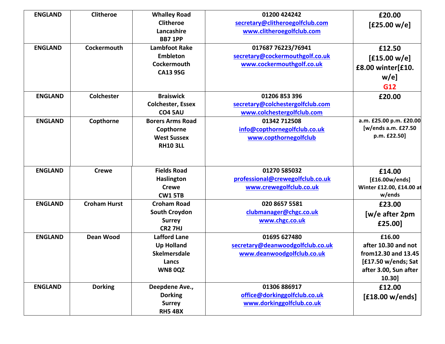| <b>ENGLAND</b> | <b>Clitheroe</b>    | <b>Whalley Road</b><br><b>Clitheroe</b>                                                   | 01200 424242<br>secretary@clitheroegolfclub.com                                    | £20.00<br>[£25.00 w/e]                                                                                          |
|----------------|---------------------|-------------------------------------------------------------------------------------------|------------------------------------------------------------------------------------|-----------------------------------------------------------------------------------------------------------------|
|                |                     | Lancashire<br><b>BB7 1PP</b>                                                              | www.clitheroegolfclub.com                                                          |                                                                                                                 |
| <b>ENGLAND</b> | Cockermouth         | <b>Lambfoot Rake</b><br><b>Embleton</b><br>Cockermouth<br><b>CA13 9SG</b>                 | 017687 76223/76941<br>secretary@cockermouthgolf.co.uk<br>www.cockermouthgolf.co.uk | £12.50<br>[£15.00 w/e]<br>£8.00 winter[£10.<br>$w/e$ ]<br>G12                                                   |
| <b>ENGLAND</b> | <b>Colchester</b>   | <b>Braiswick</b><br><b>Colchester, Essex</b><br><b>CO4 5AU</b>                            | 01206 853 396<br>secretary@colchestergolfclub.com<br>www.colchestergolfclub.com    | £20.00                                                                                                          |
| <b>ENGLAND</b> | Copthorne           | <b>Borers Arms Road</b><br>Copthorne<br><b>West Sussex</b><br><b>RH10 3LL</b>             | 01342 712508<br>info@copthornegolfclub.co.uk<br>www.copthornegolfclub              | a.m. £25.00 p.m. £20.00<br>[w/ends a.m. £27.50<br>p.m. £22.50]                                                  |
| <b>ENGLAND</b> | <b>Crewe</b>        | <b>Fields Road</b><br><b>Haslington</b><br><b>Crewe</b><br><b>CW1 5TB</b>                 | 01270 585032<br>professional@crewegolfclub.co.uk<br>www.crewegolfclub.co.uk        | £14.00<br>[£16.00w/ends]<br>Winter £12.00, £14.00 at<br>w/ends                                                  |
| <b>ENGLAND</b> | <b>Croham Hurst</b> | <b>Croham Road</b><br>South Croydon<br><b>Surrey</b><br><b>CR2 7HJ</b>                    | 020 8657 5581<br>clubmanager@chgc.co.uk<br>www.chgc.co.uk                          | £23.00<br>[w/e after 2pm<br>£25.00]                                                                             |
| <b>ENGLAND</b> | <b>Dean Wood</b>    | <b>Lafford Lane</b><br><b>Up Holland</b><br>Skelmersdale<br><b>Lancs</b><br><b>WN80QZ</b> | 01695 627480<br>secretary@deanwoodgolfclub.co.uk<br>www.deanwoodgolfclub.co.uk     | £16.00<br>after 10.30 and not<br>from 12.30 and 13.45<br>[£17.50 w/ends; Sat<br>after 3.00, Sun after<br>10.30] |
| <b>ENGLAND</b> | <b>Dorking</b>      | Deepdene Ave.,<br><b>Dorking</b><br><b>Surrey</b><br>RH54BX                               | 01306 886917<br>office@dorkinggolfclub.co.uk<br>www.dorkinggolfclub.co.uk          | £12.00<br>[£18.00 w/ends]                                                                                       |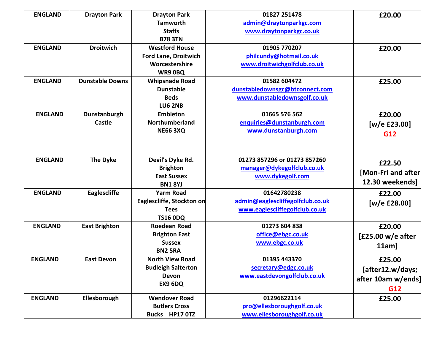| <b>ENGLAND</b> | <b>Drayton Park</b>    | <b>Drayton Park</b>         | 01827 251478                     | £20.00             |
|----------------|------------------------|-----------------------------|----------------------------------|--------------------|
|                |                        | <b>Tamworth</b>             | admin@draytonparkgc.com          |                    |
|                |                        | <b>Staffs</b>               | www.draytonparkgc.co.uk          |                    |
|                |                        | <b>B78 3TN</b>              |                                  |                    |
| <b>ENGLAND</b> | <b>Droitwich</b>       | <b>Westford House</b>       | 01905 770207                     | £20.00             |
|                |                        | <b>Ford Lane, Droitwich</b> | philcundy@hotmail.co.uk          |                    |
|                |                        | Worcestershire              | www.droitwichgolfclub.co.uk      |                    |
|                |                        | WR9 OBQ                     |                                  |                    |
| <b>ENGLAND</b> | <b>Dunstable Downs</b> | <b>Whipsnade Road</b>       | 01582 604472                     | £25.00             |
|                |                        | <b>Dunstable</b>            | dunstabledownsgc@btconnect.com   |                    |
|                |                        | <b>Beds</b>                 | www.dunstabledownsgolf.co.uk     |                    |
|                |                        | <b>LU6 2NB</b>              |                                  |                    |
| <b>ENGLAND</b> | Dunstanburgh           | <b>Embleton</b>             | 01665 576 562                    | £20.00             |
|                | <b>Castle</b>          | Northumberland              | enquiries@dunstanburgh.com       | [w/e £23.00]       |
|                |                        | <b>NE66 3XQ</b>             | www.dunstanburgh.com             | G12                |
|                |                        |                             |                                  |                    |
|                |                        |                             |                                  |                    |
| <b>ENGLAND</b> | <b>The Dyke</b>        | Devil's Dyke Rd.            | 01273 857296 or 01273 857260     |                    |
|                |                        | <b>Brighton</b>             | manager@dykegolfclub.co.uk       | £22.50             |
|                |                        | <b>East Sussex</b>          | www.dykegolf.com                 | [Mon-Fri and after |
|                |                        | <b>BN1 8YJ</b>              |                                  | 12.30 weekends]    |
| <b>ENGLAND</b> | Eaglescliffe           | <b>Yarm Road</b>            | 01642780238                      | £22.00             |
|                |                        | Eaglescliffe, Stockton on   | admin@eaglescliffegolfclub.co.uk | [w/e £28.00]       |
|                |                        | <b>Tees</b>                 | www.eaglescliffegolfclub.co.uk   |                    |
|                |                        | <b>TS16 0DQ</b>             |                                  |                    |
| <b>ENGLAND</b> | <b>East Brighton</b>   | <b>Roedean Road</b>         | 01273 604 838                    | £20.00             |
|                |                        | <b>Brighton East</b>        | office@ebgc.co.uk                | [£25.00 w/e after  |
|                |                        | <b>Sussex</b>               | www.ebgc.co.uk                   | $11am$ ]           |
|                |                        | <b>BN2 5RA</b>              |                                  |                    |
| <b>ENGLAND</b> | <b>East Devon</b>      | <b>North View Road</b>      | 01395 443370                     | £25.00             |
|                |                        | <b>Budleigh Salterton</b>   | secretary@edgc.co.uk             | [after12.w/days;   |
|                |                        | Devon                       | www.eastdevongolfclub.co.uk      | after 10am w/ends] |
|                |                        | EX9 6DQ                     |                                  |                    |
|                |                        |                             |                                  | G12                |
| <b>ENGLAND</b> | Ellesborough           | <b>Wendover Road</b>        | 01296622114                      | £25.00             |
|                |                        | <b>Butlers Cross</b>        | pro@ellesboroughgolf.co.uk       |                    |
|                |                        | Bucks HP17 0TZ              | www.ellesboroughgolf.co.uk       |                    |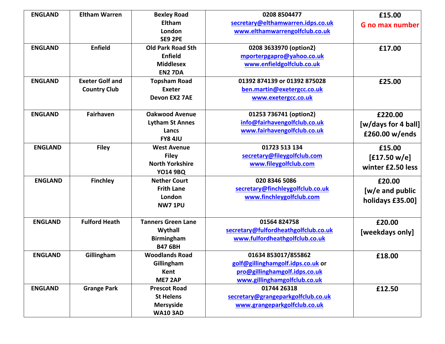| <b>ENGLAND</b> | <b>Eltham Warren</b>   | <b>Bexley Road</b>        | 0208 8504477                         | £15.00                 |
|----------------|------------------------|---------------------------|--------------------------------------|------------------------|
|                |                        | <b>Eltham</b>             | secretary@elthamwarren.idps.co.uk    | <b>G</b> no max number |
|                |                        | London                    | www.elthamwarrengolfclub.co.uk       |                        |
|                |                        | <b>SE9 2PE</b>            |                                      |                        |
| <b>ENGLAND</b> | <b>Enfield</b>         | <b>Old Park Road Sth</b>  | 0208 3633970 (option2)               | £17.00                 |
|                |                        | Enfield                   | mporterpgapro@yahoo.co.uk            |                        |
|                |                        | <b>Middlesex</b>          | www.enfieldgolfclub.co.uk            |                        |
|                |                        | <b>EN2 7DA</b>            |                                      |                        |
| <b>ENGLAND</b> | <b>Exeter Golf and</b> | <b>Topsham Road</b>       | 01392 874139 or 01392 875028         | £25.00                 |
|                | <b>Country Club</b>    | <b>Exeter</b>             | ben.martin@exetergcc.co.uk           |                        |
|                |                        | Devon EX2 7AE             | www.exetergcc.co.uk                  |                        |
| <b>ENGLAND</b> | Fairhaven              | <b>Oakwood Avenue</b>     | 01253 736741 (option2)               | £220.00                |
|                |                        | <b>Lytham St Annes</b>    | info@fairhavengolfclub.co.uk         | [w/days for 4 ball]    |
|                |                        | Lancs                     | www.fairhavengolfclub.co.uk          | £260.00 w/ends         |
|                |                        | <b>FY8 4JU</b>            |                                      |                        |
| <b>ENGLAND</b> | <b>Filey</b>           | <b>West Avenue</b>        | 01723 513 134                        | £15.00                 |
|                |                        | <b>Filey</b>              | secretary@fileygolfclub.com          | [£17.50 w/e]           |
|                |                        | <b>North Yorkshire</b>    | www.fileygolfclub.com                | winter £2.50 less      |
|                |                        | <b>YO14 9BQ</b>           |                                      |                        |
| <b>ENGLAND</b> | <b>Finchley</b>        | <b>Nether Court</b>       | 020 8346 5086                        | £20.00                 |
|                |                        | <b>Frith Lane</b>         | secretary@finchleygolfclub.co.uk     | [w/e and public        |
|                |                        | London                    | www.finchleygolfclub.com             | holidays £35.00]       |
|                |                        | <b>NW7 1PU</b>            |                                      |                        |
| <b>ENGLAND</b> | <b>Fulford Heath</b>   | <b>Tanners Green Lane</b> | 01564824758                          | £20.00                 |
|                |                        | Wythall                   | secretary@fulfordheathgolfclub.co.uk | [weekdays only]        |
|                |                        | <b>Birmingham</b>         | www.fulfordheathgolfclub.co.uk       |                        |
|                |                        | <b>B47 6BH</b>            |                                      |                        |
| <b>ENGLAND</b> | Gillingham             | <b>Woodlands Road</b>     | 01634 853017/855862                  | £18.00                 |
|                |                        | Gillingham                | golf@gillinghamgolf.idps.co.uk or    |                        |
|                |                        | Kent                      | pro@gillinghamgolf.idps.co.uk        |                        |
|                |                        | <b>ME7 2AP</b>            | www.gillinghamgolfclub.co.uk         |                        |
| <b>ENGLAND</b> | <b>Grange Park</b>     | <b>Prescot Road</b>       | 01744 26318                          | £12.50                 |
|                |                        | <b>St Helens</b>          | secretary@grangeparkgolfclub.co.uk   |                        |
|                |                        | <b>Mersyside</b>          | www.grangeparkgolfclub.co.uk         |                        |
|                |                        | <b>WA10 3AD</b>           |                                      |                        |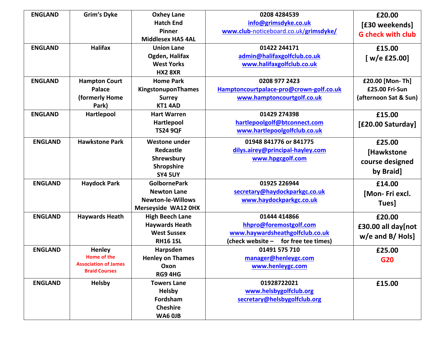| <b>ENGLAND</b> | <b>Grim's Dyke</b>          | <b>Oxhey Lane</b>          | 0208 4284539                            | £20.00                   |
|----------------|-----------------------------|----------------------------|-----------------------------------------|--------------------------|
|                |                             | <b>Hatch End</b>           | info@grimsdyke.co.uk                    | [£30 weekends]           |
|                |                             | <b>Pinner</b>              | www.club-noticeboard.co.uk/grimsdyke/   | <b>G</b> check with club |
|                |                             | <b>Middlesex HA5 4AL</b>   |                                         |                          |
| <b>ENGLAND</b> | <b>Halifax</b>              | <b>Union Lane</b>          | 01422 244171                            | £15.00                   |
|                |                             | Ogden, Halifax             | admin@halifaxgolfclub.co.uk             | [ $w/e$ £25.00]          |
|                |                             | <b>West Yorks</b>          | www.halifaxgolfclub.co.uk               |                          |
|                |                             | <b>HX2 8XR</b>             |                                         |                          |
| <b>ENGLAND</b> | <b>Hampton Court</b>        | <b>Home Park</b>           | 0208 977 2423                           | £20.00 [Mon-Th]          |
|                | Palace                      | KingstonuponThames         | Hamptoncourtpalace-pro@crown-golf.co.uk | £25.00 Fri-Sun           |
|                | (formerly Home              | <b>Surrey</b>              | www.hamptoncourtgolf.co.uk              | (afternoon Sat & Sun)    |
|                | Park)                       | KT1 4AD                    |                                         |                          |
| <b>ENGLAND</b> | Hartlepool                  | <b>Hart Warren</b>         | 01429 274398                            | £15.00                   |
|                |                             | Hartlepool                 | hartlepoolgolf@btconnect.com            | [£20.00 Saturday]        |
|                |                             | <b>TS24 9QF</b>            | www.hartlepoolgolfclub.co.uk            |                          |
| <b>ENGLAND</b> | <b>Hawkstone Park</b>       | <b>Westone under</b>       | 01948 841776 or 841775                  | £25.00                   |
|                |                             | Redcastle                  | dilys.airey@principal-hayley.com        | [Hawkstone               |
|                |                             | Shrewsbury                 | www.hpgcgolf.com                        |                          |
|                |                             | Shropshire                 |                                         | course designed          |
|                |                             | <b>SY4 5UY</b>             |                                         | by Braid]                |
| <b>ENGLAND</b> | <b>Haydock Park</b>         | <b>GolbornePark</b>        | 01925 226944                            | £14.00                   |
|                |                             | <b>Newton Lane</b>         | secretary@haydockparkgc.co.uk           | [Mon-Friexcl.            |
|                |                             | <b>Newton-le-Willows</b>   | www.haydockparkgc.co.uk                 | Tues]                    |
|                |                             | <b>Merseyside WA12 0HX</b> |                                         |                          |
| <b>ENGLAND</b> | <b>Haywards Heath</b>       | <b>High Beech Lane</b>     | 01444 414866                            | £20.00                   |
|                |                             | <b>Haywards Heath</b>      | hhpro@foremostgolf.com                  | £30.00 all day[not       |
|                |                             | <b>West Sussex</b>         | www.haywardsheathgolfclub.co.uk         | $w/e$ and B/Hols]        |
|                |                             | <b>RH16 1SL</b>            | (check website - for free tee times)    |                          |
| <b>ENGLAND</b> | <b>Henley</b>               | Harpsden                   | 01491 575 710                           | £25.00                   |
|                | <b>Home of the</b>          | <b>Henley on Thames</b>    | manager@henleygc.com                    | G20                      |
|                | <b>Association of James</b> | Oxon                       | www.henleygc.com                        |                          |
|                | <b>Braid Courses</b>        | RG9 4HG                    |                                         |                          |
| <b>ENGLAND</b> | Helsby                      | <b>Towers Lane</b>         | 01928722021                             | £15.00                   |
|                |                             | <b>Helsby</b>              | www.helsbygolfclub.org                  |                          |
|                |                             | Fordsham                   | secretary@helsbygolfclub.org            |                          |
|                |                             | <b>Cheshire</b>            |                                         |                          |
|                |                             | WA6 OJB                    |                                         |                          |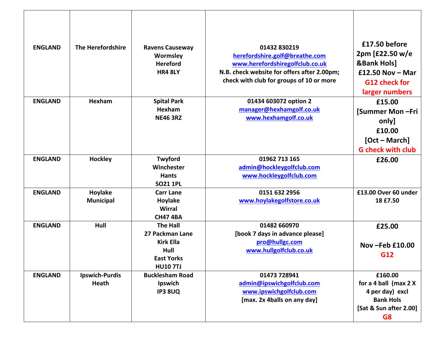| <b>ENGLAND</b> | The Herefordshire              | <b>Ravens Causeway</b><br>Wormsley<br><b>Hereford</b><br><b>HR4 8LY</b>                                | 01432 830219<br>herefordshire.golf@breathe.com<br>www.herefordshiregolfclub.co.uk<br>N.B. check website for offers after 2.00pm;<br>check with club for groups of 10 or more | £17.50 before<br>2pm [£22.50 w/e<br><b>&amp;Bank Hols]</b><br>£12.50 Nov $-$ Mar<br><b>G12 check for</b><br>larger numbers |
|----------------|--------------------------------|--------------------------------------------------------------------------------------------------------|------------------------------------------------------------------------------------------------------------------------------------------------------------------------------|----------------------------------------------------------------------------------------------------------------------------|
| <b>ENGLAND</b> | Hexham                         | <b>Spital Park</b><br>Hexham<br><b>NE46 3RZ</b>                                                        | 01434 603072 option 2<br>manager@hexhamgolf.co.uk<br>www.hexhamgolf.co.uk                                                                                                    | £15.00<br>[Summer Mon-Fri<br>only]<br>£10.00<br>[Oct – March]<br><b>G</b> check with club                                  |
| <b>ENGLAND</b> | <b>Hockley</b>                 | Twyford<br>Winchester<br><b>Hants</b><br><b>SO21 1PL</b>                                               | 01962 713 165<br>admin@hockleygolfclub.com<br>www.hockleygolfclub.com                                                                                                        | £26.00                                                                                                                     |
| <b>ENGLAND</b> | Hoylake<br><b>Municipal</b>    | <b>Carr Lane</b><br>Hoylake<br><b>Wirral</b><br><b>CH47 4BA</b>                                        | 0151 632 2956<br>www.hoylakegolfstore.co.uk                                                                                                                                  | £13.00 Over 60 under<br>18 £7.50                                                                                           |
| <b>ENGLAND</b> | Hull                           | <b>The Hall</b><br>27 Packman Lane<br><b>Kirk Ella</b><br>Hull<br><b>East Yorks</b><br><b>HU10 7TJ</b> | 01482 660970<br>[book 7 days in advance please]<br>pro@hullgc.com<br>www.hullgolfclub.co.uk                                                                                  | £25.00<br>Nov-Feb £10.00<br>G12                                                                                            |
| <b>ENGLAND</b> | <b>Ipswich-Purdis</b><br>Heath | <b>Bucklesham Road</b><br>Ipswich<br><b>IP3 8UQ</b>                                                    | 01473 728941<br>admin@ipswichgolfclub.com<br>www.ipswichgolfclub.com<br>[max. 2x 4balls on any day]                                                                          | £160.00<br>for a 4 ball (max 2 X<br>4 per day) excl<br><b>Bank Hols</b><br>[Sat & Sun after 2.00]<br>G8                    |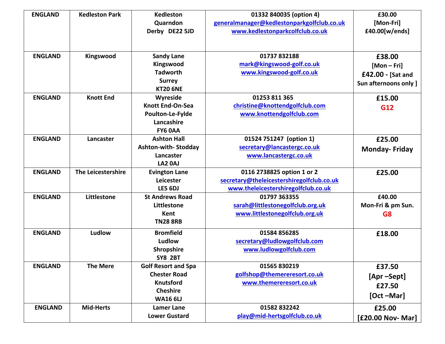| <b>ENGLAND</b> | <b>Kedleston Park</b> | <b>Kedleston</b>           |                                            | £30.00                |
|----------------|-----------------------|----------------------------|--------------------------------------------|-----------------------|
|                |                       |                            | 01332 840035 (option 4)                    |                       |
|                |                       | Quarndon                   | generalmanager@kedlestonparkgolfclub.co.uk | [Mon-Fri]             |
|                |                       | Derby DE22 5JD             | www.kedlestonparkcolfclub.co.uk            | £40.00[w/ends]        |
|                |                       |                            |                                            |                       |
| <b>ENGLAND</b> | Kingswood             | <b>Sandy Lane</b>          | 01737 832188                               | £38.00                |
|                |                       | Kingswood                  | mark@kingswood-golf.co.uk                  | $[Mon-Fri]$           |
|                |                       | <b>Tadworth</b>            | www.kingswood-golf.co.uk                   | £42.00 - [Sat and     |
|                |                       | <b>Surrey</b>              |                                            | Sun afternoons only ] |
|                |                       | <b>KT20 6NE</b>            |                                            |                       |
| <b>ENGLAND</b> | <b>Knott End</b>      | Wyreside                   | 01253 811 365                              | £15.00                |
|                |                       | <b>Knott End-On-Sea</b>    | christine@knottendgolfclub.com             | G12                   |
|                |                       | Poulton-Le-Fylde           | www.knottendgolfclub.com                   |                       |
|                |                       | Lancashire                 |                                            |                       |
|                |                       | FY6 OAA                    |                                            |                       |
| <b>ENGLAND</b> | Lancaster             | <b>Ashton Hall</b>         | 01524 751247 (option 1)                    | £25.00                |
|                |                       | Ashton-with-Stodday        | secretary@lancastergc.co.uk                | <b>Monday-Friday</b>  |
|                |                       | Lancaster                  | www.lancastergc.co.uk                      |                       |
|                |                       | LA2 0AJ                    |                                            |                       |
| <b>ENGLAND</b> | The Leicestershire    | <b>Evington Lane</b>       | 0116 2738825 option 1 or 2                 | £25.00                |
|                |                       | Leicester                  | secretary@theleicestershiregolfclub.co.uk  |                       |
|                |                       | LE5 6DJ                    | www.theleicestershiregolfclub.co.uk        |                       |
| <b>ENGLAND</b> | Littlestone           | <b>St Andrews Road</b>     | 01797 363355                               | £40.00                |
|                |                       | Littlestone                | sarah@littlestonegolfclub.org.uk           | Mon-Fri & pm Sun.     |
|                |                       | Kent                       | www.littlestonegolfclub.org.uk             | G <sub>8</sub>        |
|                |                       | <b>TN28 8RB</b>            |                                            |                       |
| <b>ENGLAND</b> | Ludlow                | <b>Bromfield</b>           | 01584 856285                               | £18.00                |
|                |                       | Ludlow                     | secretary@ludlowgolfclub.com               |                       |
|                |                       | Shropshire                 | www.ludlowgolfclub.com                     |                       |
|                |                       | <b>SY8 2BT</b>             |                                            |                       |
| <b>ENGLAND</b> | <b>The Mere</b>       | <b>Golf Resort and Spa</b> | 01565 830219                               |                       |
|                |                       | <b>Chester Road</b>        | golfshop@themereresort.co.uk               | £37.50                |
|                |                       | <b>Knutsford</b>           | www.themereresort.co.uk                    | [Apr-Sept]            |
|                |                       |                            |                                            | £27.50                |
|                |                       | <b>Cheshire</b>            |                                            | [Oct-Mar]             |
|                |                       | <b>WA16 6LJ</b>            |                                            |                       |
| <b>ENGLAND</b> | <b>Mid-Herts</b>      | <b>Lamer Lane</b>          | 01582832242                                | £25.00                |
|                |                       | <b>Lower Gustard</b>       | play@mid-hertsgolfclub.co.uk               | [£20.00 Nov- Mar]     |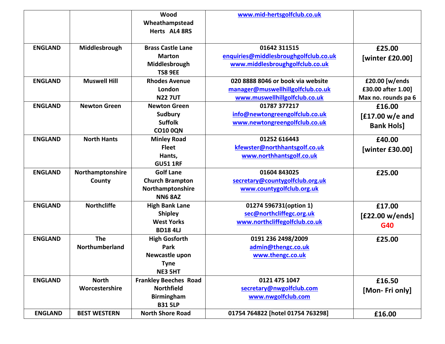|                |                     | Wood                         | www.mid-hertsgolfclub.co.uk           |                     |
|----------------|---------------------|------------------------------|---------------------------------------|---------------------|
|                |                     | Wheathampstead               |                                       |                     |
|                |                     | Herts AL4 8RS                |                                       |                     |
|                |                     |                              |                                       |                     |
| <b>ENGLAND</b> | Middlesbrough       | <b>Brass Castle Lane</b>     | 01642 311515                          | £25.00              |
|                |                     | <b>Marton</b>                | enquiries@middlesbroughgolfclub.co.uk | [winter £20.00]     |
|                |                     | Middlesbrough                | www.middlesbroughgolfclub.co.uk       |                     |
|                |                     | <b>TS8 9EE</b>               |                                       |                     |
| <b>ENGLAND</b> | <b>Muswell Hill</b> | <b>Rhodes Avenue</b>         | 020 8888 8046 or book via website     | £20.00 [w/ends      |
|                |                     | London                       | manager@muswellhillgolfclub.co.uk     | £30.00 after 1.00]  |
|                |                     | <b>N227UT</b>                | www.muswellhillgolfclub.co.uk         | Max no. rounds pa 6 |
| <b>ENGLAND</b> | <b>Newton Green</b> | <b>Newton Green</b>          | 01787 377217                          | £16.00              |
|                |                     | <b>Sudbury</b>               | info@newtongreengolfclub.co.uk        | [£17.00 w/e and     |
|                |                     | <b>Suffolk</b>               | www.newtongreengolfclub.co.uk         | <b>Bank Hols]</b>   |
|                |                     | <b>CO10 0QN</b>              |                                       |                     |
| <b>ENGLAND</b> | <b>North Hants</b>  | <b>Minley Road</b>           | 01252 616443                          | £40.00              |
|                |                     | <b>Fleet</b>                 | kfewster@northhantsgolf.co.uk         | [winter £30.00]     |
|                |                     | Hants,                       | www.northhantsgolf.co.uk              |                     |
|                |                     | <b>GU51 1RF</b>              |                                       |                     |
| <b>ENGLAND</b> | Northamptonshire    | <b>Golf Lane</b>             | 01604 843025                          | £25.00              |
|                | County              | <b>Church Brampton</b>       | secretary@countygolfclub.org.uk       |                     |
|                |                     | Northamptonshire             | www.countygolfclub.org.uk             |                     |
|                |                     | <b>NN6 8AZ</b>               |                                       |                     |
| <b>ENGLAND</b> | <b>Northcliffe</b>  | <b>High Bank Lane</b>        | 01274 596731(option 1)                | £17.00              |
|                |                     | <b>Shipley</b>               | sec@northcliffegc.org.uk              | [£22.00 w/ends]     |
|                |                     | <b>West Yorks</b>            | www.northcliffegolfclub.co.uk         | G40                 |
|                |                     | <b>BD184LJ</b>               |                                       |                     |
| <b>ENGLAND</b> | <b>The</b>          | <b>High Gosforth</b>         | 0191 236 2498/2009                    | £25.00              |
|                | Northumberland      | Park                         | admin@thengc.co.uk                    |                     |
|                |                     | Newcastle upon               | www.thengc.co.uk                      |                     |
|                |                     | <b>Tyne</b>                  |                                       |                     |
|                |                     | <b>NE3 5HT</b>               |                                       |                     |
| <b>ENGLAND</b> | <b>North</b>        | <b>Frankley Beeches Road</b> | 0121 475 1047                         | £16.50              |
|                | Worcestershire      | <b>Northfield</b>            | secretary@nwgolfclub.com              | [Mon-Fri only]      |
|                |                     | <b>Birmingham</b>            | www.nwgolfclub.com                    |                     |
|                |                     | <b>B31 5LP</b>               |                                       |                     |
| <b>ENGLAND</b> | <b>BEST WESTERN</b> | <b>North Shore Road</b>      | 01754 764822 [hotel 01754 763298]     | £16.00              |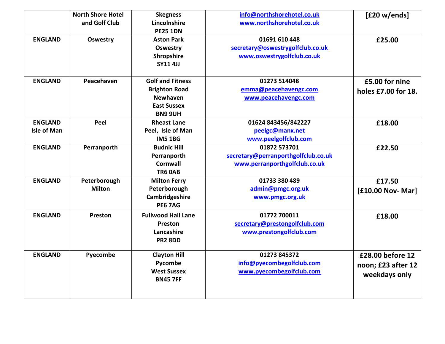|                    | <b>North Shore Hotel</b> | <b>Skegness</b>           | info@northshorehotel.co.uk          | [£20 w/ends]        |
|--------------------|--------------------------|---------------------------|-------------------------------------|---------------------|
|                    | and Golf Club            | Lincolnshire              | www.northshorehotel.co.uk           |                     |
|                    |                          | <b>PE25 1DN</b>           |                                     |                     |
| <b>ENGLAND</b>     | <b>Oswestry</b>          | <b>Aston Park</b>         | 01691 610 448                       | £25.00              |
|                    |                          | <b>Oswestry</b>           | secretary@oswestrygolfclub.co.uk    |                     |
|                    |                          | Shropshire                | www.oswestrygolfclub.co.uk          |                     |
|                    |                          | <b>SY11 4JJ</b>           |                                     |                     |
|                    |                          |                           |                                     |                     |
| <b>ENGLAND</b>     | Peacehaven               | <b>Golf and Fitness</b>   | 01273 514048                        | £5.00 for nine      |
|                    |                          | <b>Brighton Road</b>      | emma@peacehavengc.com               | holes £7.00 for 18. |
|                    |                          | <b>Newhaven</b>           | www.peacehavengc.com                |                     |
|                    |                          | <b>East Sussex</b>        |                                     |                     |
|                    |                          | <b>BN9 9UH</b>            |                                     |                     |
| <b>ENGLAND</b>     | Peel                     | <b>Rheast Lane</b>        | 01624 843456/842227                 | £18.00              |
| <b>Isle of Man</b> |                          | Peel, Isle of Man         | peelgc@manx.net                     |                     |
|                    |                          | <b>IM5 1BG</b>            | www.peelgolfclub.com                |                     |
| <b>ENGLAND</b>     | Perranporth              | <b>Budnic Hill</b>        | 01872 573701                        | £22.50              |
|                    |                          | Perranporth               | secretary@perranporthgolfclub.co.uk |                     |
|                    |                          | Cornwall                  | www.perranporthgolfclub.co.uk       |                     |
|                    |                          | <b>TR6 0AB</b>            |                                     |                     |
| <b>ENGLAND</b>     | Peterborough             | <b>Milton Ferry</b>       | 01733 380 489                       | £17.50              |
|                    | <b>Milton</b>            | Peterborough              | admin@pmgc.org.uk                   | [£10.00 Nov- Mar]   |
|                    |                          | Cambridgeshire            | www.pmgc.org.uk                     |                     |
|                    |                          | <b>PE6 7AG</b>            |                                     |                     |
| <b>ENGLAND</b>     | Preston                  | <b>Fullwood Hall Lane</b> | 01772 700011                        | £18.00              |
|                    |                          | Preston                   | secretary@prestongolfclub.com       |                     |
|                    |                          | Lancashire                | www.prestongolfclub.com             |                     |
|                    |                          | <b>PR2 8DD</b>            |                                     |                     |
|                    |                          |                           |                                     |                     |
| <b>ENGLAND</b>     | Pyecombe                 | <b>Clayton Hill</b>       | 01273 845372                        | £28.00 before 12    |
|                    |                          | Pycombe                   | info@pyecombegolfclub.com           | noon; £23 after 12  |
|                    |                          | <b>West Sussex</b>        | www.pyecombegolfclub.com            | weekdays only       |
|                    |                          | <b>BN45 7FF</b>           |                                     |                     |
|                    |                          |                           |                                     |                     |
|                    |                          |                           |                                     |                     |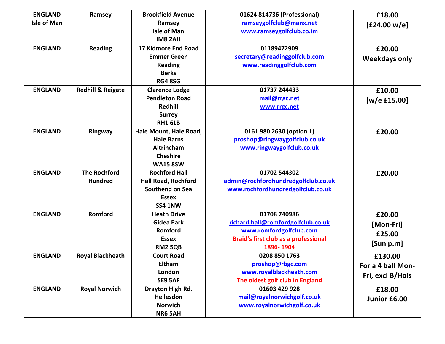| <b>ENGLAND</b>     | Ramsey                       | <b>Brookfield Avenue</b>   | 01624 814736 (Professional)                 | £18.00               |
|--------------------|------------------------------|----------------------------|---------------------------------------------|----------------------|
| <b>Isle of Man</b> |                              | Ramsey                     | ramseygolfclub@manx.net                     | [£24.00 w/e]         |
|                    |                              | <b>Isle of Man</b>         | www.ramseygolfclub.co.im                    |                      |
|                    |                              | <b>IM8 2AH</b>             |                                             |                      |
| <b>ENGLAND</b>     | <b>Reading</b>               | 17 Kidmore End Road        | 01189472909                                 | £20.00               |
|                    |                              | <b>Emmer Green</b>         | secretary@readinggolfclub.com               | <b>Weekdays only</b> |
|                    |                              | <b>Reading</b>             | www.readinggolfclub.com                     |                      |
|                    |                              | <b>Berks</b>               |                                             |                      |
|                    |                              | <b>RG4 8SG</b>             |                                             |                      |
| <b>ENGLAND</b>     | <b>Redhill &amp; Reigate</b> | <b>Clarence Lodge</b>      | 01737 244433                                | £10.00               |
|                    |                              | <b>Pendleton Road</b>      | mail@rrgc.net                               | [ $w/e$ £15.00]      |
|                    |                              | <b>Redhill</b>             | www.rrgc.net                                |                      |
|                    |                              | <b>Surrey</b>              |                                             |                      |
|                    |                              | <b>RH1 6LB</b>             |                                             |                      |
| <b>ENGLAND</b>     | Ringway                      | Hale Mount, Hale Road,     | 0161 980 2630 (option 1)                    | £20.00               |
|                    |                              | <b>Hale Barns</b>          | proshop@ringwaygolfclub.co.uk               |                      |
|                    |                              | <b>Altrincham</b>          | www.ringwaygolfclub.co.uk                   |                      |
|                    |                              | <b>Cheshire</b>            |                                             |                      |
|                    |                              | <b>WA15 8SW</b>            |                                             |                      |
| <b>ENGLAND</b>     | <b>The Rochford</b>          | <b>Rochford Hall</b>       | 01702 544302                                | £20.00               |
|                    | <b>Hundred</b>               | <b>Hall Road, Rochford</b> | admin@rochfordhundredgolfclub.co.uk         |                      |
|                    |                              | Southend on Sea            | www.rochfordhundredgolfclub.co.uk           |                      |
|                    |                              | <b>Essex</b>               |                                             |                      |
|                    |                              | SS4 1NW                    |                                             |                      |
| <b>ENGLAND</b>     | Romford                      | <b>Heath Drive</b>         | 01708 740986                                | £20.00               |
|                    |                              | <b>Gidea Park</b>          | richard.hall@romfordgolfclub.co.uk          | [Mon-Fri]            |
|                    |                              | Romford                    | www.romfordgolfclub.com                     | £25.00               |
|                    |                              | <b>Essex</b>               | <b>Braid's first club as a professional</b> | [Sum p.m]            |
|                    |                              | <b>RM2 5QB</b>             | 1896-1904                                   |                      |
| <b>ENGLAND</b>     | <b>Royal Blackheath</b>      | <b>Court Road</b>          | 0208 850 1763                               | £130.00              |
|                    |                              | Eltham                     | proshop@rbgc.com                            | For a 4 ball Mon-    |
|                    |                              | London                     | www.royalblackheath.com                     | Fri, excl B/Hols     |
|                    |                              | SE9 5AF                    | The oldest golf club in England             |                      |
| <b>ENGLAND</b>     | <b>Royal Norwich</b>         | Drayton High Rd.           | 01603 429 928                               | £18.00               |
|                    |                              | Hellesdon                  | mail@royalnorwichgolf.co.uk                 | Junior £6.00         |
|                    |                              | <b>Norwich</b>             | www.royalnorwichgolf.co.uk                  |                      |
|                    |                              | <b>NR6 5AH</b>             |                                             |                      |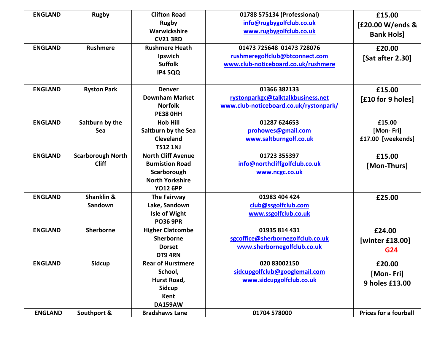| <b>ENGLAND</b> | <b>Rugby</b>             | <b>Clifton Road</b>       | 01788 575134 (Professional)            | £15.00                       |
|----------------|--------------------------|---------------------------|----------------------------------------|------------------------------|
|                |                          | <b>Rugby</b>              | info@rugbygolfclub.co.uk               | [£20.00 W/ends &             |
|                |                          | Warwickshire              | www.rugbygolfclub.co.uk                | <b>Bank Hols]</b>            |
|                |                          | <b>CV21 3RD</b>           |                                        |                              |
| <b>ENGLAND</b> | <b>Rushmere</b>          | <b>Rushmere Heath</b>     | 01473 725648 01473 728076              | £20.00                       |
|                |                          | Ipswich                   | rushmeregolfclub@btconnect.com         | [Sat after 2.30]             |
|                |                          | <b>Suffolk</b>            | www.club-noticeboard.co.uk/rushmere    |                              |
|                |                          | <b>IP4 5QQ</b>            |                                        |                              |
|                |                          |                           |                                        |                              |
| <b>ENGLAND</b> | <b>Ryston Park</b>       | <b>Denver</b>             | 01366 382133                           | £15.00                       |
|                |                          | <b>Downham Market</b>     | rystonparkgc@talktalkbusiness.net      | [£10 for 9 holes]            |
|                |                          | <b>Norfolk</b>            | www.club-noticeboard.co.uk/rystonpark/ |                              |
|                |                          | <b>PE38 OHH</b>           |                                        |                              |
| <b>ENGLAND</b> | Saltburn by the          | <b>Hob Hill</b>           | 01287 624653                           | £15.00                       |
|                | Sea                      | Saltburn by the Sea       | prohowes@gmail.com                     | [Mon-Fri]                    |
|                |                          | <b>Cleveland</b>          | www.saltburngolf.co.uk                 | £17.00 [weekends]            |
|                |                          | <b>TS12 1NJ</b>           |                                        |                              |
| <b>ENGLAND</b> | <b>Scarborough North</b> | <b>North Cliff Avenue</b> | 01723 355397                           | £15.00                       |
|                | <b>Cliff</b>             | <b>Burnistion Road</b>    | info@northcliffgolfclub.co.uk          | [Mon-Thurs]                  |
|                |                          | Scarborough               | www.ncgc.co.uk                         |                              |
|                |                          | <b>North Yorkshire</b>    |                                        |                              |
|                |                          | <b>YO12 6PP</b>           |                                        |                              |
| <b>ENGLAND</b> | Shanklin &               | <b>The Fairway</b>        | 01983 404 424                          | £25.00                       |
|                | Sandown                  | Lake, Sandown             | club@ssgolfclub.com                    |                              |
|                |                          | <b>Isle of Wight</b>      | www.ssgolfclub.co.uk                   |                              |
|                |                          | <b>PO36 9PR</b>           |                                        |                              |
| <b>ENGLAND</b> | Sherborne                | <b>Higher Clatcombe</b>   | 01935 814 431                          | £24.00                       |
|                |                          | Sherborne                 | sgcoffice@sherbornegolfclub.co.uk      | [winter £18.00]              |
|                |                          | <b>Dorset</b>             | www.sherbornegolfclub.co.uk            | G24                          |
|                |                          | DT9 4RN                   |                                        |                              |
| <b>ENGLAND</b> | <b>Sidcup</b>            | <b>Rear of Hurstmere</b>  | 020 83002150                           | £20.00                       |
|                |                          | School,                   | sidcupgolfclub@googlemail.com          | [Mon-Fri]                    |
|                |                          | Hurst Road,               | www.sidcupgolfclub.co.uk               | 9 holes £13.00               |
|                |                          | <b>Sidcup</b>             |                                        |                              |
|                |                          | Kent                      |                                        |                              |
|                |                          | <b>DA159AW</b>            |                                        |                              |
| <b>ENGLAND</b> | Southport &              | <b>Bradshaws Lane</b>     | 01704 578000                           | <b>Prices for a fourball</b> |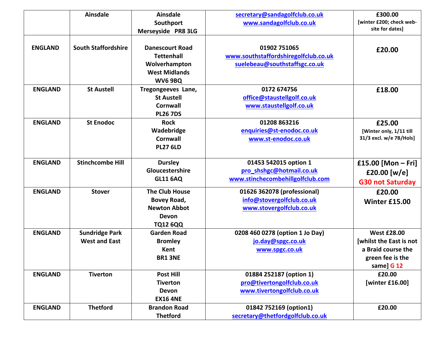|                | <b>Ainsdale</b>                               | <b>Ainsdale</b><br>Southport<br>Merseyside PR8 3LG                                                     | secretary@sandagolfclub.co.uk<br>www.sandagolfclub.co.uk                              | £300.00<br>[winter £200; check web-<br>site for dates]                                                |
|----------------|-----------------------------------------------|--------------------------------------------------------------------------------------------------------|---------------------------------------------------------------------------------------|-------------------------------------------------------------------------------------------------------|
| <b>ENGLAND</b> | <b>South Staffordshire</b>                    | <b>Danescourt Road</b><br><b>Tettenhall</b><br>Wolverhampton<br><b>West Midlands</b><br><b>WV6 9BQ</b> | 01902 751065<br>www.southstaffordshiregolfclub.co.uk<br>suelebeau@southstaffsgc.co.uk | £20.00                                                                                                |
| <b>ENGLAND</b> | <b>St Austell</b>                             | Tregongeeves Lane,<br><b>St Austell</b><br>Cornwall<br><b>PL26 7DS</b>                                 | 0172 674756<br>office@staustellgolf.co.uk<br>www.staustellgolf.co.uk                  | £18.00                                                                                                |
| <b>ENGLAND</b> | <b>St Enodoc</b>                              | <b>Rock</b><br>Wadebridge<br>Cornwall<br><b>PL27 6LD</b>                                               | 01208 863216<br>enquiries@st-enodoc.co.uk<br>www.st-enodoc.co.uk                      | £25.00<br>[Winter only, 1/11 till<br>31/3 excl. w/e 7B/Hols]                                          |
| <b>ENGLAND</b> | <b>Stinchcombe Hill</b>                       | <b>Dursley</b><br>Gloucestershire<br><b>GL11 6AQ</b>                                                   | 01453 542015 option 1<br>pro shshgc@hotmail.co.uk<br>www.stinchecombehillgolfclub.com | £15.00 [Mon – Fri]<br>£20.00 [w/e]<br><b>G30 not Saturday</b>                                         |
| <b>ENGLAND</b> | <b>Stover</b>                                 | <b>The Club House</b><br>Bovey Road,<br><b>Newton Abbot</b><br><b>Devon</b><br><b>TQ12 6QQ</b>         | 01626 362078 (professional)<br>info@stovergolfclub.co.uk<br>www.stovergolfclub.co.uk  | £20.00<br><b>Winter £15.00</b>                                                                        |
| <b>ENGLAND</b> | <b>Sundridge Park</b><br><b>West and East</b> | <b>Garden Road</b><br><b>Bromley</b><br>Kent<br><b>BR1 3NE</b>                                         | 0208 460 0278 (option 1 Jo Day)<br>jo.day@spgc.co.uk<br>www.spgc.co.uk                | <b>West £28.00</b><br>[whilst the East is not<br>a Braid course the<br>green fee is the<br>same] G 12 |
| <b>ENGLAND</b> | <b>Tiverton</b>                               | <b>Post Hill</b><br><b>Tiverton</b><br><b>Devon</b><br><b>EX16 4NE</b>                                 | 01884 252187 (option 1)<br>pro@tivertongolfclub.co.uk<br>www.tivertongolfclub.co.uk   | £20.00<br>[winter £16.00]                                                                             |
| <b>ENGLAND</b> | <b>Thetford</b>                               | <b>Brandon Road</b><br><b>Thetford</b>                                                                 | 01842 752169 (option1)<br>secretary@thetfordgolfclub.co.uk                            | £20.00                                                                                                |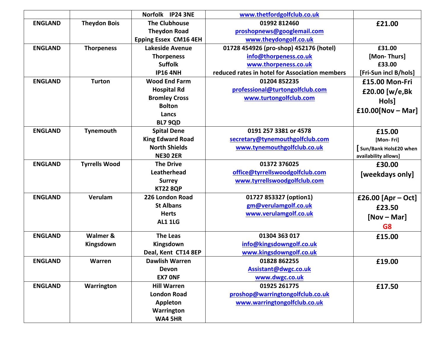|                |                      | Norfolk IP24 3NE             | www.thetfordgolfclub.co.uk                     |                       |
|----------------|----------------------|------------------------------|------------------------------------------------|-----------------------|
| <b>ENGLAND</b> | <b>Theydon Bois</b>  | <b>The Clubhouse</b>         | 01992 812460                                   | £21.00                |
|                |                      | <b>Theydon Road</b>          | proshopnews@googlemail.com                     |                       |
|                |                      | <b>Epping Essex CM16 4EH</b> | www.theydongolf.co.uk                          |                       |
| <b>ENGLAND</b> | <b>Thorpeness</b>    | Lakeside Avenue              | 01728 454926 (pro-shop) 452176 (hotel)         | £31.00                |
|                |                      | <b>Thorpeness</b>            | info@thorpeness.co.uk                          | [Mon-Thurs]           |
|                |                      | <b>Suffolk</b>               | www.thorpeness.co.uk                           | £33.00                |
|                |                      | <b>IP16 4NH</b>              | reduced rates in hotel for Association members | [Fri-Sun incl B/hols] |
| <b>ENGLAND</b> | <b>Turton</b>        | <b>Wood End Farm</b>         | 01204 852235                                   | £15.00 Mon-Fri        |
|                |                      | <b>Hospital Rd</b>           | professional@turtongolfclub.com                | £20.00 [w/e,Bk        |
|                |                      | <b>Bromley Cross</b>         | www.turtongolfclub.com                         | Hols]                 |
|                |                      | <b>Bolton</b>                |                                                |                       |
|                |                      | Lancs                        |                                                | $£10.00[Nov-Mar]$     |
|                |                      | <b>BL7 9QD</b>               |                                                |                       |
| <b>ENGLAND</b> | Tynemouth            | <b>Spital Dene</b>           | 0191 257 3381 or 4578                          | £15.00                |
|                |                      | <b>King Edward Road</b>      | secretary@tynemouthgolfclub.com                | [Mon-Fri]             |
|                |                      | <b>North Shields</b>         | www.tynemouthgolfclub.co.uk                    | Sun/Bank Hols£20 when |
|                |                      | <b>NE30 2ER</b>              |                                                | availability allows]  |
| <b>ENGLAND</b> | <b>Tyrrells Wood</b> | <b>The Drive</b>             | 01372 376025                                   | £30.00                |
|                |                      | <b>Leatherhead</b>           | office@tyrrellswoodgolfclub.com                | [weekdays only]       |
|                |                      | <b>Surrey</b>                | www.tyrrellswoodgolfclub.com                   |                       |
|                |                      | <b>KT22 8QP</b>              |                                                |                       |
| <b>ENGLAND</b> | Verulam              | 226 London Road              | 01727 853327 (option1)                         | £26.00 [Apr – Oct]    |
|                |                      | <b>St Albans</b>             | gm@verulamgolf.co.uk                           | £23.50                |
|                |                      | <b>Herts</b>                 | www.verulamgolf.co.uk                          | $[Nov - Mar]$         |
|                |                      | <b>AL1 1LG</b>               |                                                | G8                    |
| <b>ENGLAND</b> | Walmer &             | <b>The Leas</b>              | 01304 363 017                                  |                       |
|                | Kingsdown            | Kingsdown                    | info@kingsdowngolf.co.uk                       | £15.00                |
|                |                      | Deal, Kent CT14 8EP          | www.kingsdowngolf.co.uk                        |                       |
| <b>ENGLAND</b> | Warren               | Dawlish Warren               | 01828 862255                                   |                       |
|                |                      | Devon                        | Assistant@dwgc.co.uk                           | £19.00                |
|                |                      | <b>EX7 ONF</b>               | www.dwgc.co.uk                                 |                       |
| <b>ENGLAND</b> | Warrington           | <b>Hill Warren</b>           | 01925 261775                                   |                       |
|                |                      | <b>London Road</b>           | proshop@warringtongolfclub.co.uk               | £17.50                |
|                |                      | Appleton                     | www.warringtongolfclub.co.uk                   |                       |
|                |                      | Warrington                   |                                                |                       |
|                |                      | <b>WA4 5HR</b>               |                                                |                       |
|                |                      |                              |                                                |                       |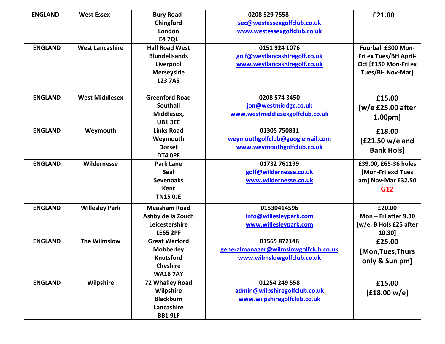| <b>ENGLAND</b> | <b>West Essex</b>      | <b>Bury Road</b>      | 0208 529 7558                         | £21.00                  |
|----------------|------------------------|-----------------------|---------------------------------------|-------------------------|
|                |                        | Chingford             | sec@westessexgolfclub.co.uk           |                         |
|                |                        | London                | www.westessexgolfclub.co.uk           |                         |
|                |                        | <b>E47QL</b>          |                                       |                         |
| <b>ENGLAND</b> | <b>West Lancashire</b> | <b>Hall Road West</b> | 0151 924 1076                         | Fourball £300 Mon-      |
|                |                        | <b>Blundellsands</b>  | golf@westlancashiregolf.co.uk         | Fri ex Tues/BH April-   |
|                |                        | Liverpool             | www.westlancashiregolf.co.uk          | Oct [£150 Mon-Fri ex    |
|                |                        | <b>Merseyside</b>     |                                       | <b>Tues/BH Nov-Mar]</b> |
|                |                        | <b>L23 7AS</b>        |                                       |                         |
|                |                        |                       |                                       |                         |
| <b>ENGLAND</b> | <b>West Middlesex</b>  | <b>Greenford Road</b> | 0208 574 3450                         | £15.00                  |
|                |                        | <b>Southall</b>       | jon@westmiddgc.co.uk                  | $[w/e$ £25.00 after     |
|                |                        | Middlesex,            | www.westmiddlesexgolfclub.co.uk       | 1.00 <sub>pm</sub>      |
|                |                        | <b>UB1 3EE</b>        |                                       |                         |
| <b>ENGLAND</b> | Weymouth               | <b>Links Road</b>     | 01305 750831                          | £18.00                  |
|                |                        | Weymouth              | weymouthgolfclub@googlemail.com       | $[£21.50 w/e$ and       |
|                |                        | <b>Dorset</b>         | www.weymouthgolfclub.co.uk            | <b>Bank Hols]</b>       |
|                |                        | DT4 OPF               |                                       |                         |
| <b>ENGLAND</b> | Wildernesse            | <b>Park Lane</b>      | 01732 761199                          | £39.00, £65-36 holes    |
|                |                        | Seal                  | golf@wildernesse.co.uk                | [Mon-Fri excl Tues      |
|                |                        | <b>Sevenoaks</b>      | www.wildernesse.co.uk                 | am] Nov-Mar £32.50      |
|                |                        | Kent                  |                                       | G12                     |
|                |                        | <b>TN15 OJE</b>       |                                       |                         |
| <b>ENGLAND</b> | <b>Willesley Park</b>  | <b>Measham Road</b>   | 01530414596                           | £20.00                  |
|                |                        | Ashby de la Zouch     | info@willesleypark.com                | Mon $-$ Fri after 9.30  |
|                |                        | Leicestershire        | www.willesleypark.com                 | [w/e. B Hols £25 after  |
|                |                        | <b>LE65 2PF</b>       |                                       | 10.30]                  |
| <b>ENGLAND</b> | <b>The Wilmslow</b>    | <b>Great Warford</b>  | 01565 872148                          | £25.00                  |
|                |                        | <b>Mobberley</b>      | generalmanager@wilmslowgolfclub.co.uk |                         |
|                |                        | <b>Knutsford</b>      | www.wilmslowgolfclub.co.uk            | [Mon, Tues, Thurs       |
|                |                        | <b>Cheshire</b>       |                                       | only & Sun pm]          |
|                |                        | <b>WA16 7AY</b>       |                                       |                         |
| <b>ENGLAND</b> | Wilpshire              | 72 Whalley Road       | 01254 249 558                         | £15.00                  |
|                |                        | Wilpshire             | admin@wilpshiregolfclub.co.uk         |                         |
|                |                        | <b>Blackburn</b>      | www.wilpshiregolfclub.co.uk           | [£18.00 w/e]            |
|                |                        | Lancashire            |                                       |                         |
|                |                        | <b>BB1 9LF</b>        |                                       |                         |
|                |                        |                       |                                       |                         |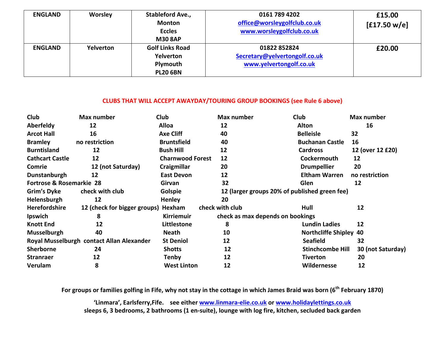| <b>ENGLAND</b> | <b>Worsley</b>   | Stableford Ave.,<br><b>Monton</b><br><b>Eccles</b> | 0161 789 4202<br>office@worsleygolfclub.co.uk<br>www.worsleygolfclub.co.uk |        |
|----------------|------------------|----------------------------------------------------|----------------------------------------------------------------------------|--------|
|                |                  | <b>M30 8AP</b>                                     |                                                                            |        |
| <b>ENGLAND</b> | <b>Yelverton</b> | <b>Golf Links Road</b>                             | 01822852824                                                                | £20.00 |
|                |                  | Yelverton                                          | Secretary@yelvertongolf.co.uk                                              |        |
|                |                  | Plymouth                                           | www.yelvertongolf.co.uk                                                    |        |
|                |                  | <b>PL20 6BN</b>                                    |                                                                            |        |

## CLUBS THAT WILL ACCEPT AWAYDAY/TOURING GROUP BOOKINGS (see Rule 6 above)

| <b>Club</b>              | Max number                                | <b>Club</b>             | Max number      | <b>Club</b>                                   | Max number        |
|--------------------------|-------------------------------------------|-------------------------|-----------------|-----------------------------------------------|-------------------|
| Aberfeldy                | 12                                        | <b>Alloa</b>            | 12              | <b>Alton</b>                                  | 16                |
| <b>Arcot Hall</b>        | 16                                        | <b>Axe Cliff</b>        | 40              | <b>Belleisle</b>                              | 32                |
| <b>Bramley</b>           | no restriction                            | <b>Bruntsfield</b>      | 40              | <b>Buchanan Castle</b>                        | 16                |
| <b>Burntisland</b>       | 12                                        | <b>Bush Hill</b>        | 12              | <b>Cardross</b>                               | 12 (over 12 £20)  |
| <b>Cathcart Castle</b>   | 12                                        | <b>Charnwood Forest</b> | 12              | Cockermouth                                   | 12                |
| <b>Comrie</b>            | 12 (not Saturday)                         | Craigmillar             | 20              | <b>Drumpellier</b>                            | 20                |
| Dunstanburgh             | 12                                        | <b>East Devon</b>       | 12              | <b>Eltham Warren</b>                          | no restriction    |
| Fortrose & Rosemarkie 28 |                                           | Girvan                  | 32              | Glen                                          | 12                |
| Grim's Dyke              | check with club                           | Golspie                 |                 | 12 (larger groups 20% of published green fee) |                   |
| Helensburgh              | 12                                        | <b>Henley</b>           | 20              |                                               |                   |
| Herefordshire            | 12 (check for bigger groups) Hexham       |                         | check with club | Hull                                          | 12                |
| <b>Ipswich</b>           | 8                                         | <b>Kirriemuir</b>       |                 | check as max depends on bookings              |                   |
| <b>Knott End</b>         | 12                                        | Littlestone             | 8               | <b>Lundin Ladies</b>                          | 12                |
| <b>Musselburgh</b>       | 40                                        | <b>Neath</b>            | 10              | <b>Northcliffe Shipley 40</b>                 |                   |
|                          | Royal Musselburgh contact Allan Alexander | <b>St Deniol</b>        | 12              | <b>Seafield</b>                               | 32                |
| <b>Sherborne</b>         | 24                                        | <b>Shotts</b>           | 12              | <b>Stinchcombe Hill</b>                       | 30 (not Saturday) |
| <b>Stranraer</b>         | 12                                        | Tenby                   | 12              | Tiverton                                      | 20                |
| Verulam                  | 8                                         | <b>West Linton</b>      | 12              | Wildernesse                                   | 12                |

For groups or families golfing in Fife, why not stay in the cottage in which James Braid was born (6<sup>th</sup> February 1870)

'Linmara', Earlsferry, Fife. see either www.linmara-elie.co.uk or www.holidaylettings.co.uk sleeps 6, 3 bedrooms, 2 bathrooms (1 en-suite), lounge with log fire, kitchen, secluded back garden